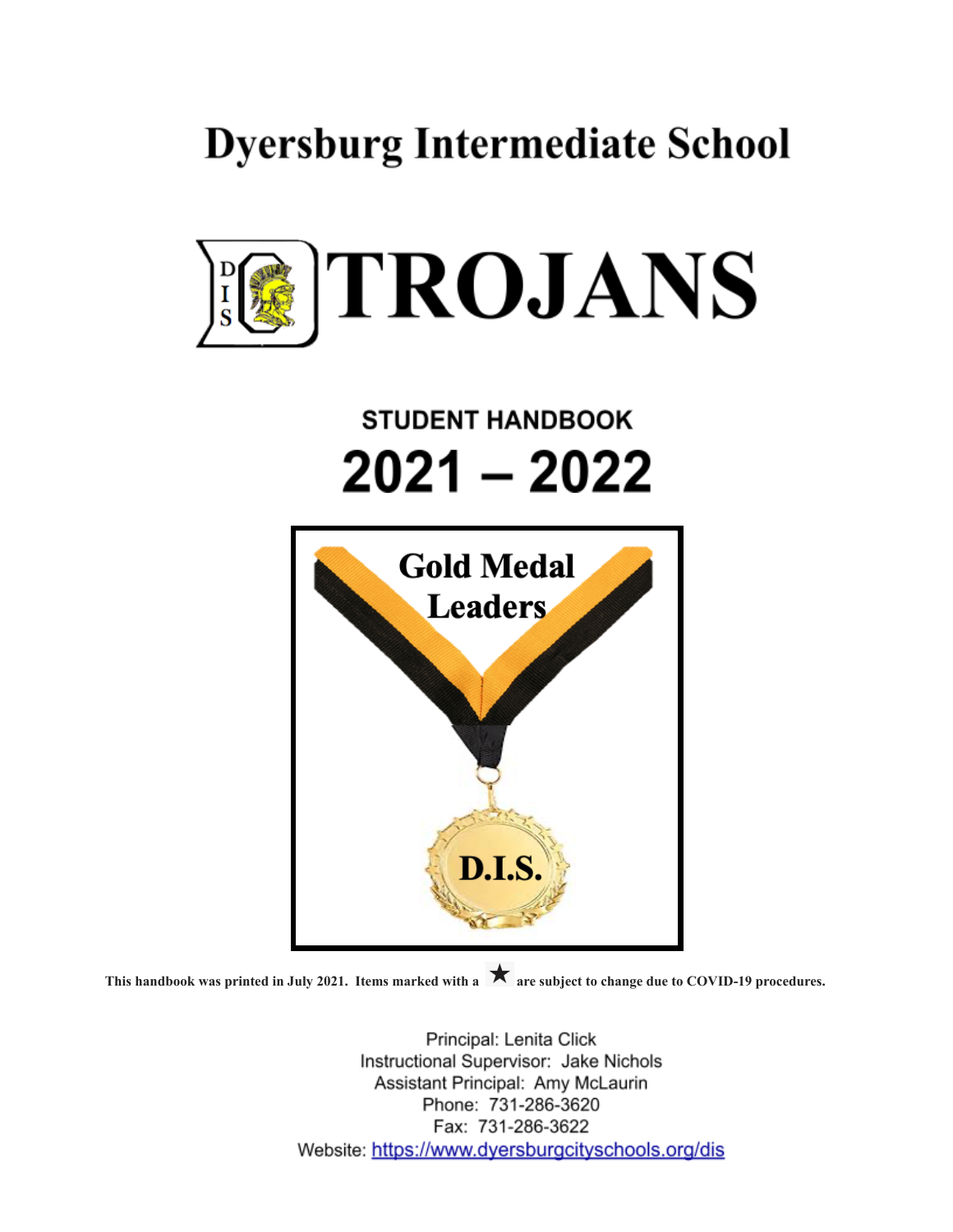## **Dyersburg Intermediate School**



# **STUDENT HANDBOOK** 2021 – 2022



**This handbook was printed in July 2021. Items marked with a are subject to change due to COVID-19 procedures.**

Principal: Lenita Click Instructional Supervisor: Jake Nichols Assistant Principal: Amy McLaurin Phone: 731-286-3620 Fax: 731-286-3622 Website: https://www.dyersburgcityschools.org/dis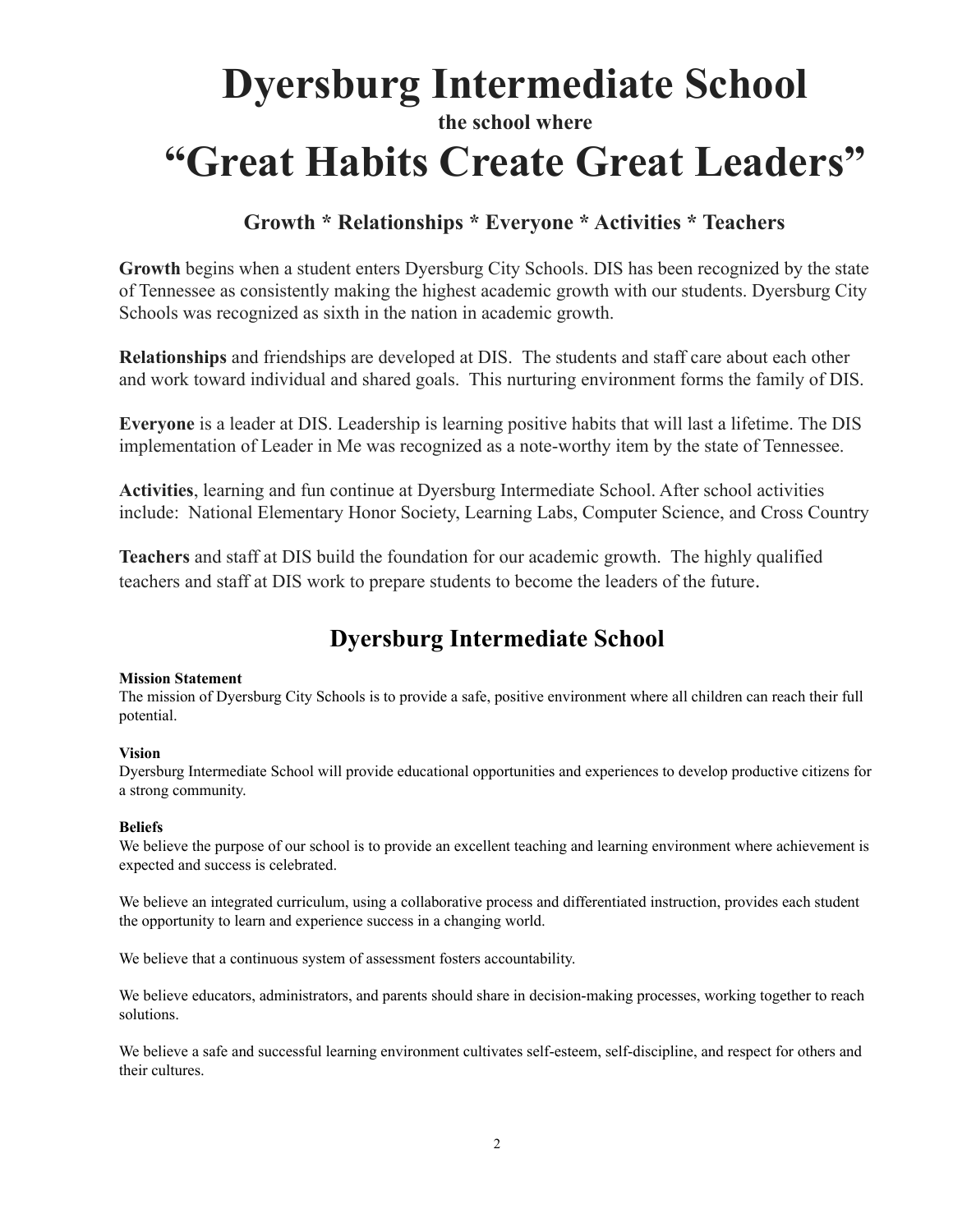## **Dyersburg Intermediate School the school where "Great Habits Create Great Leaders"**

### **Growth \* Relationships \* Everyone \* Activities \* Teachers**

**Growth** begins when a student enters Dyersburg City Schools. DIS has been recognized by the state of Tennessee as consistently making the highest academic growth with our students. Dyersburg City Schools was recognized as sixth in the nation in academic growth.

**Relationships** and friendships are developed at DIS. The students and staff care about each other and work toward individual and shared goals. This nurturing environment forms the family of DIS.

**Everyone** is a leader at DIS. Leadership is learning positive habits that will last a lifetime. The DIS implementation of Leader in Me was recognized as a note-worthy item by the state of Tennessee.

**Activities**, learning and fun continue at Dyersburg Intermediate School. After school activities include: National Elementary Honor Society, Learning Labs, Computer Science, and Cross Country

**Teachers** and staff at DIS build the foundation for our academic growth. The highly qualified teachers and staff at DIS work to prepare students to become the leaders of the future.

## **Dyersburg Intermediate School**

#### **Mission Statement**

The mission of Dyersburg City Schools is to provide a safe, positive environment where all children can reach their full potential.

#### **Vision**

Dyersburg Intermediate School will provide educational opportunities and experiences to develop productive citizens for a strong community.

#### **Beliefs**

We believe the purpose of our school is to provide an excellent teaching and learning environment where achievement is expected and success is celebrated.

We believe an integrated curriculum, using a collaborative process and differentiated instruction, provides each student the opportunity to learn and experience success in a changing world.

We believe that a continuous system of assessment fosters accountability.

We believe educators, administrators, and parents should share in decision-making processes, working together to reach solutions.

We believe a safe and successful learning environment cultivates self-esteem, self-discipline, and respect for others and their cultures.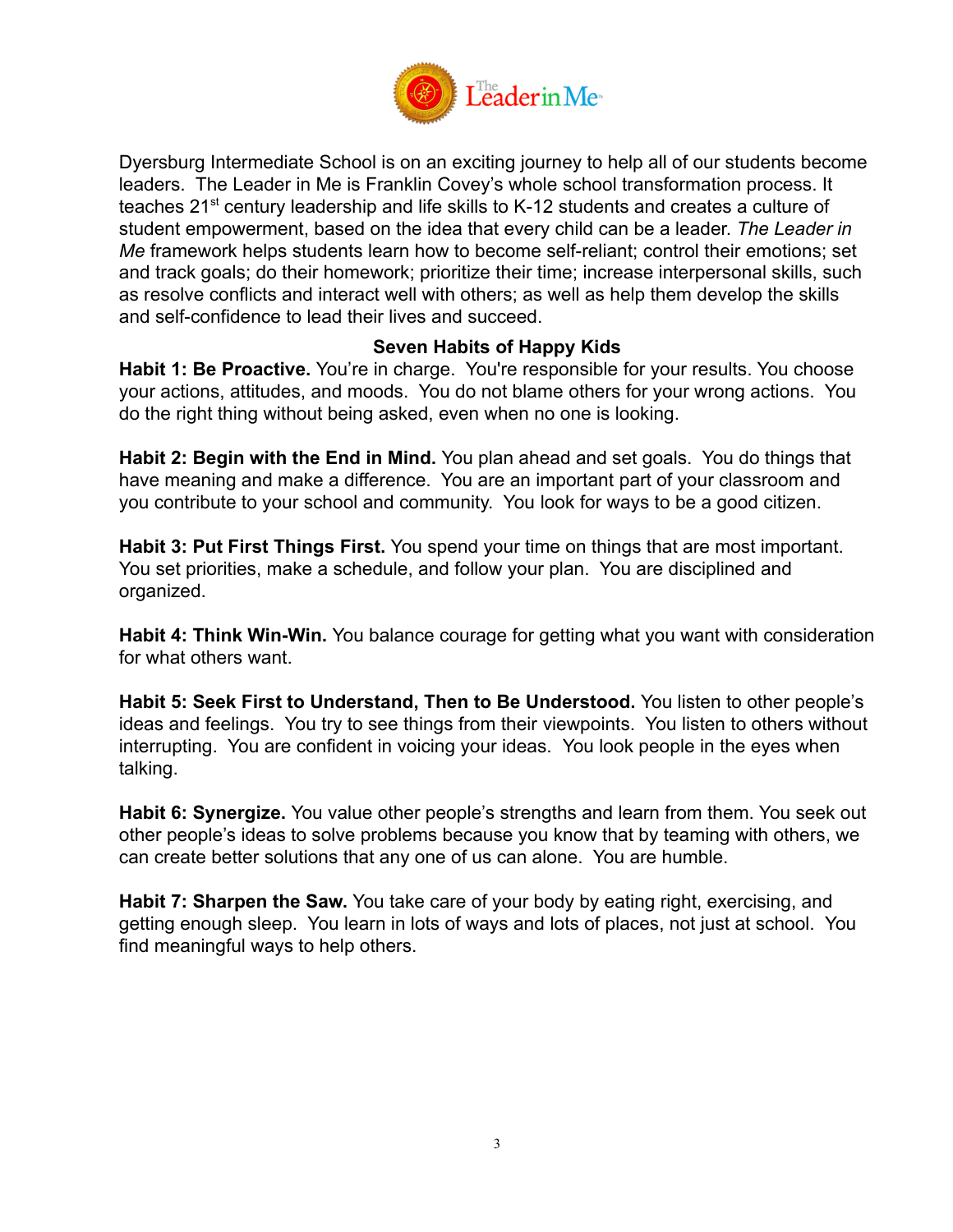

Dyersburg Intermediate School is on an exciting journey to help all of our students become leaders. The Leader in Me is Franklin Covey's whole school transformation process. It teaches 21<sup>st</sup> century leadership and life skills to K-12 students and creates a culture of student empowerment, based on the idea that every child can be a leader. *The Leader in Me* framework helps students learn how to become self-reliant; control their emotions; set and track goals; do their homework; prioritize their time; increase interpersonal skills, such as resolve conflicts and interact well with others; as well as help them develop the skills and self-confidence to lead their lives and succeed.

### **Seven Habits of Happy Kids**

**Habit 1: Be Proactive.** You're in charge. You're responsible for your results. You choose your actions, attitudes, and moods. You do not blame others for your wrong actions. You do the right thing without being asked, even when no one is looking.

**Habit 2: Begin with the End in Mind.** You plan ahead and set goals. You do things that have meaning and make a difference. You are an important part of your classroom and you contribute to your school and community. You look for ways to be a good citizen.

**Habit 3: Put First Things First.** You spend your time on things that are most important. You set priorities, make a schedule, and follow your plan. You are disciplined and organized.

**Habit 4: Think Win-Win.** You balance courage for getting what you want with consideration for what others want.

**Habit 5: Seek First to Understand, Then to Be Understood.** You listen to other people's ideas and feelings. You try to see things from their viewpoints. You listen to others without interrupting. You are confident in voicing your ideas. You look people in the eyes when talking.

**Habit 6: Synergize.** You value other people's strengths and learn from them. You seek out other people's ideas to solve problems because you know that by teaming with others, we can create better solutions that any one of us can alone. You are humble.

**Habit 7: Sharpen the Saw.** You take care of your body by eating right, exercising, and getting enough sleep. You learn in lots of ways and lots of places, not just at school. You find meaningful ways to help others.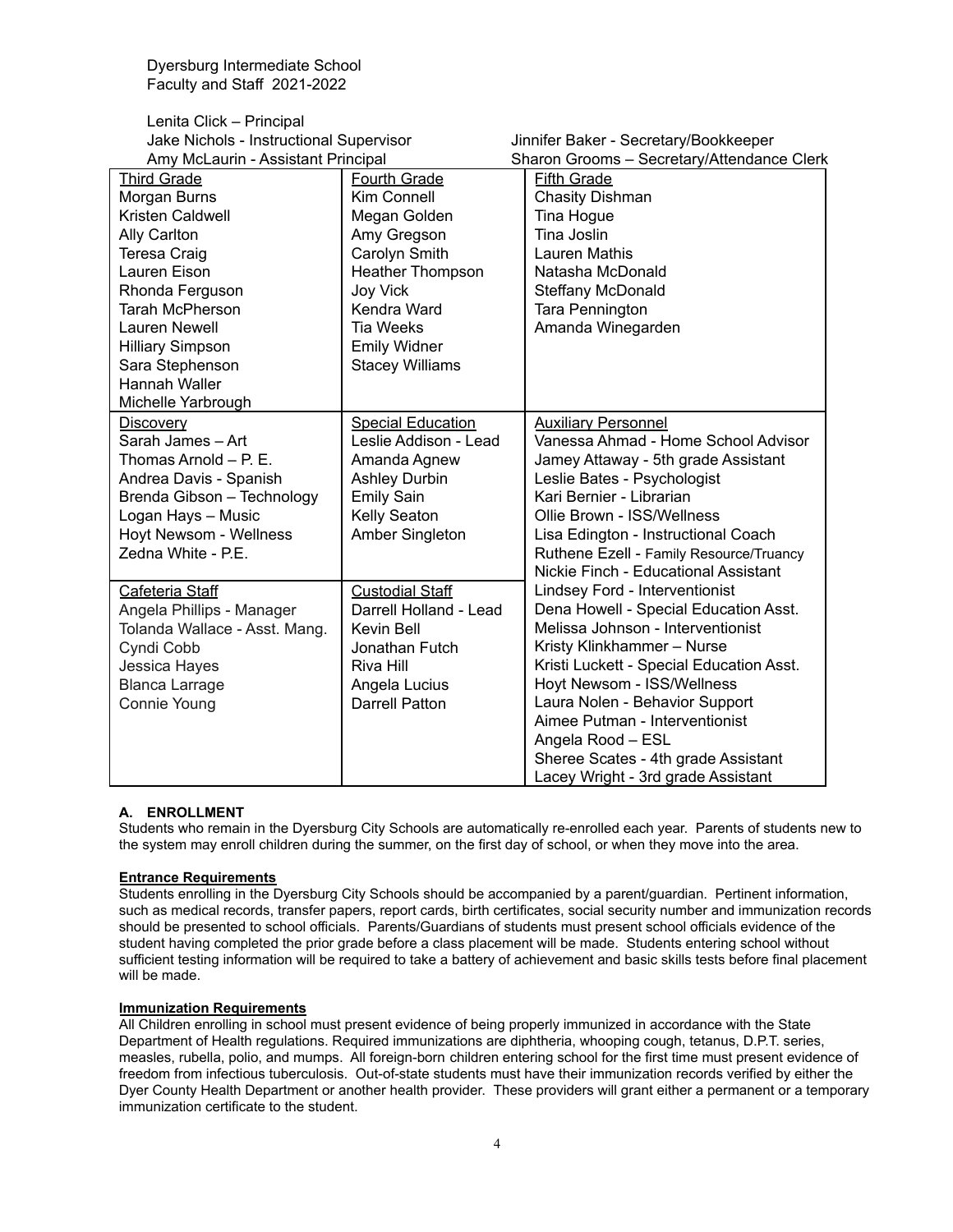Lenita Click – Principal Jake Nichols - Instructional Supervisor Jinnifer Baker - Secretary/Bookkeeper Amy McLaurin - Assistant Principal Sharon Grooms – Secretary/Attendance Clerk

| Amy McLaurin - Assistant Principal |                          | Sharon Grooms – Secretary/Attendance Clerk |
|------------------------------------|--------------------------|--------------------------------------------|
| <b>Third Grade</b>                 | <b>Fourth Grade</b>      | <b>Fifth Grade</b>                         |
| Morgan Burns                       | Kim Connell              | <b>Chasity Dishman</b>                     |
| Kristen Caldwell                   | Megan Golden             | Tina Hogue                                 |
| Ally Carlton                       | Amy Gregson              | Tina Joslin                                |
| Teresa Craig                       | Carolyn Smith            | Lauren Mathis                              |
| Lauren Eison                       | <b>Heather Thompson</b>  | Natasha McDonald                           |
| Rhonda Ferguson                    | <b>Joy Vick</b>          | Steffany McDonald                          |
| Tarah McPherson                    | Kendra Ward              | <b>Tara Pennington</b>                     |
| Lauren Newell                      | Tia Weeks                | Amanda Winegarden                          |
| <b>Hilliary Simpson</b>            | <b>Emily Widner</b>      |                                            |
| Sara Stephenson                    | <b>Stacey Williams</b>   |                                            |
| Hannah Waller                      |                          |                                            |
| Michelle Yarbrough                 |                          |                                            |
| <b>Discovery</b>                   | <b>Special Education</b> | <b>Auxiliary Personnel</b>                 |
| Sarah James-Art                    | Leslie Addison - Lead    | Vanessa Ahmad - Home School Advisor        |
| Thomas Arnold - P. E.              | Amanda Agnew             | Jamey Attaway - 5th grade Assistant        |
| Andrea Davis - Spanish             | <b>Ashley Durbin</b>     | Leslie Bates - Psychologist                |
| Brenda Gibson - Technology         | <b>Emily Sain</b>        | Kari Bernier - Librarian                   |
| Logan Hays - Music                 | Kelly Seaton             | Ollie Brown - ISS/Wellness                 |
| Hoyt Newsom - Wellness             | Amber Singleton          | Lisa Edington - Instructional Coach        |
| Zedna White - P.E.                 |                          | Ruthene Ezell - Family Resource/Truancy    |
|                                    |                          | Nickie Finch - Educational Assistant       |
| Cafeteria Staff                    | <b>Custodial Staff</b>   | Lindsey Ford - Interventionist             |
| Angela Phillips - Manager          | Darrell Holland - Lead   | Dena Howell - Special Education Asst.      |
| Tolanda Wallace - Asst. Mang.      | Kevin Bell               | Melissa Johnson - Interventionist          |
| Cyndi Cobb                         | Jonathan Futch           | Kristy Klinkhammer - Nurse                 |
| Jessica Hayes                      | Riva Hill                | Kristi Luckett - Special Education Asst.   |
| <b>Blanca Larrage</b>              | Angela Lucius            | Hoyt Newsom - ISS/Wellness                 |
| Connie Young                       | <b>Darrell Patton</b>    | Laura Nolen - Behavior Support             |
|                                    |                          | Aimee Putman - Interventionist             |
|                                    |                          | Angela Rood - ESL                          |
|                                    |                          | Sheree Scates - 4th grade Assistant        |
|                                    |                          | Lacey Wright - 3rd grade Assistant         |

#### **A. ENROLLMENT**

Students who remain in the Dyersburg City Schools are automatically re-enrolled each year. Parents of students new to the system may enroll children during the summer, on the first day of school, or when they move into the area.

#### **Entrance Requirements**

Students enrolling in the Dyersburg City Schools should be accompanied by a parent/guardian. Pertinent information, such as medical records, transfer papers, report cards, birth certificates, social security number and immunization records should be presented to school officials. Parents/Guardians of students must present school officials evidence of the student having completed the prior grade before a class placement will be made. Students entering school without sufficient testing information will be required to take a battery of achievement and basic skills tests before final placement will be made.

#### **Immunization Requirements**

All Children enrolling in school must present evidence of being properly immunized in accordance with the State Department of Health regulations. Required immunizations are diphtheria, whooping cough, tetanus, D.P.T. series, measles, rubella, polio, and mumps. All foreign-born children entering school for the first time must present evidence of freedom from infectious tuberculosis. Out-of-state students must have their immunization records verified by either the Dyer County Health Department or another health provider. These providers will grant either a permanent or a temporary immunization certificate to the student.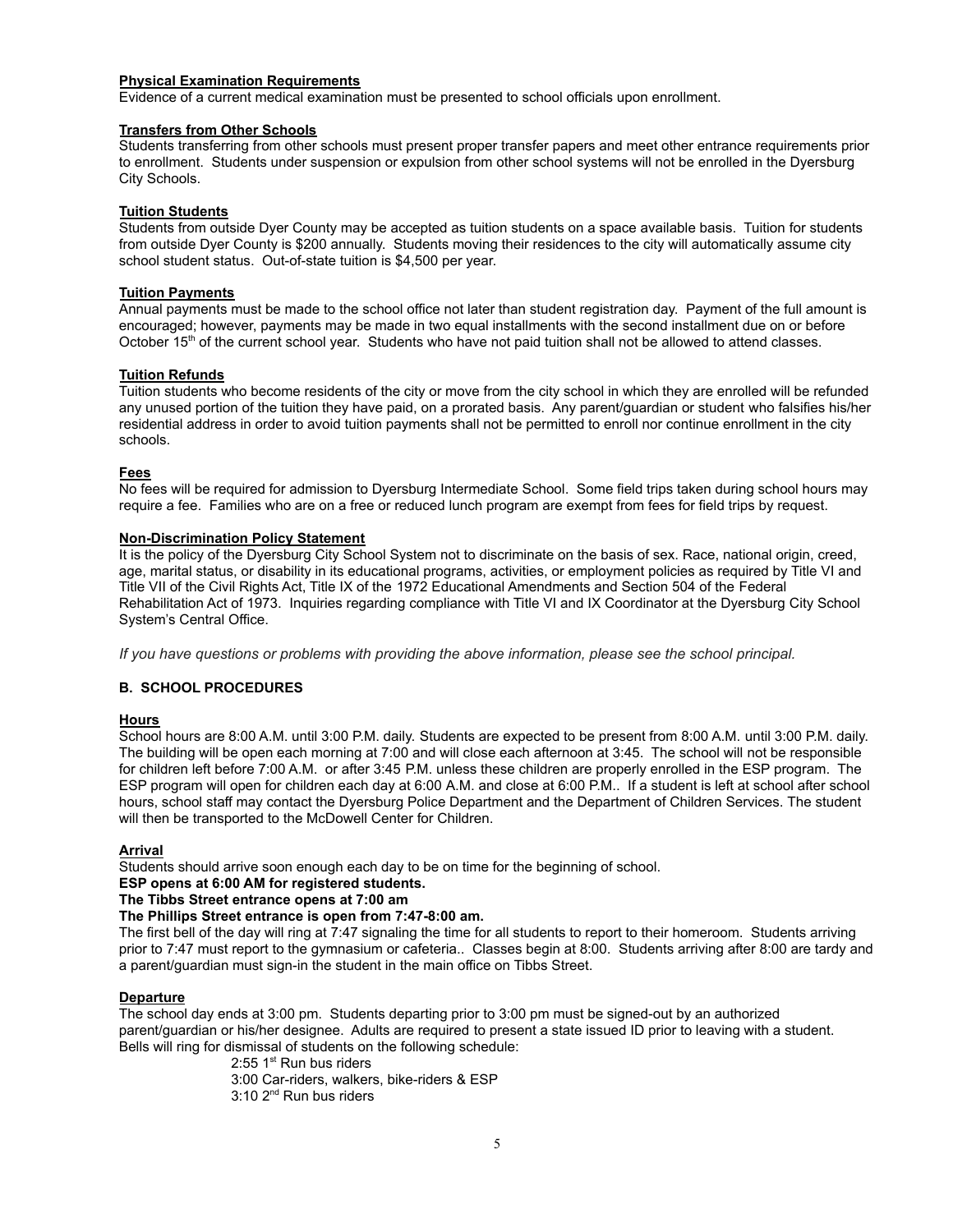#### **Physical Examination Requirements**

Evidence of a current medical examination must be presented to school officials upon enrollment.

#### **Transfers from Other Schools**

Students transferring from other schools must present proper transfer papers and meet other entrance requirements prior to enrollment. Students under suspension or expulsion from other school systems will not be enrolled in the Dyersburg City Schools.

#### **Tuition Students**

Students from outside Dyer County may be accepted as tuition students on a space available basis. Tuition for students from outside Dyer County is \$200 annually. Students moving their residences to the city will automatically assume city school student status. Out-of-state tuition is \$4,500 per year.

#### **Tuition Payments**

Annual payments must be made to the school office not later than student registration day. Payment of the full amount is encouraged; however, payments may be made in two equal installments with the second installment due on or before October 15<sup>th</sup> of the current school year. Students who have not paid tuition shall not be allowed to attend classes.

#### **Tuition Refunds**

Tuition students who become residents of the city or move from the city school in which they are enrolled will be refunded any unused portion of the tuition they have paid, on a prorated basis. Any parent/guardian or student who falsifies his/her residential address in order to avoid tuition payments shall not be permitted to enroll nor continue enrollment in the city schools.

#### **Fees**

No fees will be required for admission to Dyersburg Intermediate School. Some field trips taken during school hours may require a fee. Families who are on a free or reduced lunch program are exempt from fees for field trips by request.

#### **Non-Discrimination Policy Statement**

It is the policy of the Dyersburg City School System not to discriminate on the basis of sex. Race, national origin, creed, age, marital status, or disability in its educational programs, activities, or employment policies as required by Title VI and Title VII of the Civil Rights Act, Title IX of the 1972 Educational Amendments and Section 504 of the Federal Rehabilitation Act of 1973. Inquiries regarding compliance with Title VI and IX Coordinator at the Dyersburg City School System's Central Office.

*If you have questions or problems with providing the above information, please see the school principal.*

#### **B. SCHOOL PROCEDURES**

#### **Hours**

School hours are 8:00 A.M. until 3:00 P.M. daily. Students are expected to be present from 8:00 A.M. until 3:00 P.M. daily. The building will be open each morning at 7:00 and will close each afternoon at 3:45. The school will not be responsible for children left before 7:00 A.M. or after 3:45 P.M. unless these children are properly enrolled in the ESP program. The ESP program will open for children each day at 6:00 A.M. and close at 6:00 P.M.. If a student is left at school after school hours, school staff may contact the Dyersburg Police Department and the Department of Children Services. The student will then be transported to the McDowell Center for Children.

#### **Arrival**

Students should arrive soon enough each day to be on time for the beginning of school.

#### **ESP opens at 6:00 AM for registered students.**

#### **The Tibbs Street entrance opens at 7:00 am**

#### **The Phillips Street entrance is open from 7:47-8:00 am.**

The first bell of the day will ring at 7:47 signaling the time for all students to report to their homeroom. Students arriving prior to 7:47 must report to the gymnasium or cafeteria.. Classes begin at 8:00. Students arriving after 8:00 are tardy and a parent/guardian must sign-in the student in the main office on Tibbs Street.

#### **Departure**

The school day ends at 3:00 pm. Students departing prior to 3:00 pm must be signed-out by an authorized parent/guardian or his/her designee. Adults are required to present a state issued ID prior to leaving with a student. Bells will ring for dismissal of students on the following schedule:

 $2:55$  1st Run bus riders

3:00 Car-riders, walkers, bike-riders & ESP

3:10 2<sup>nd</sup> Run bus riders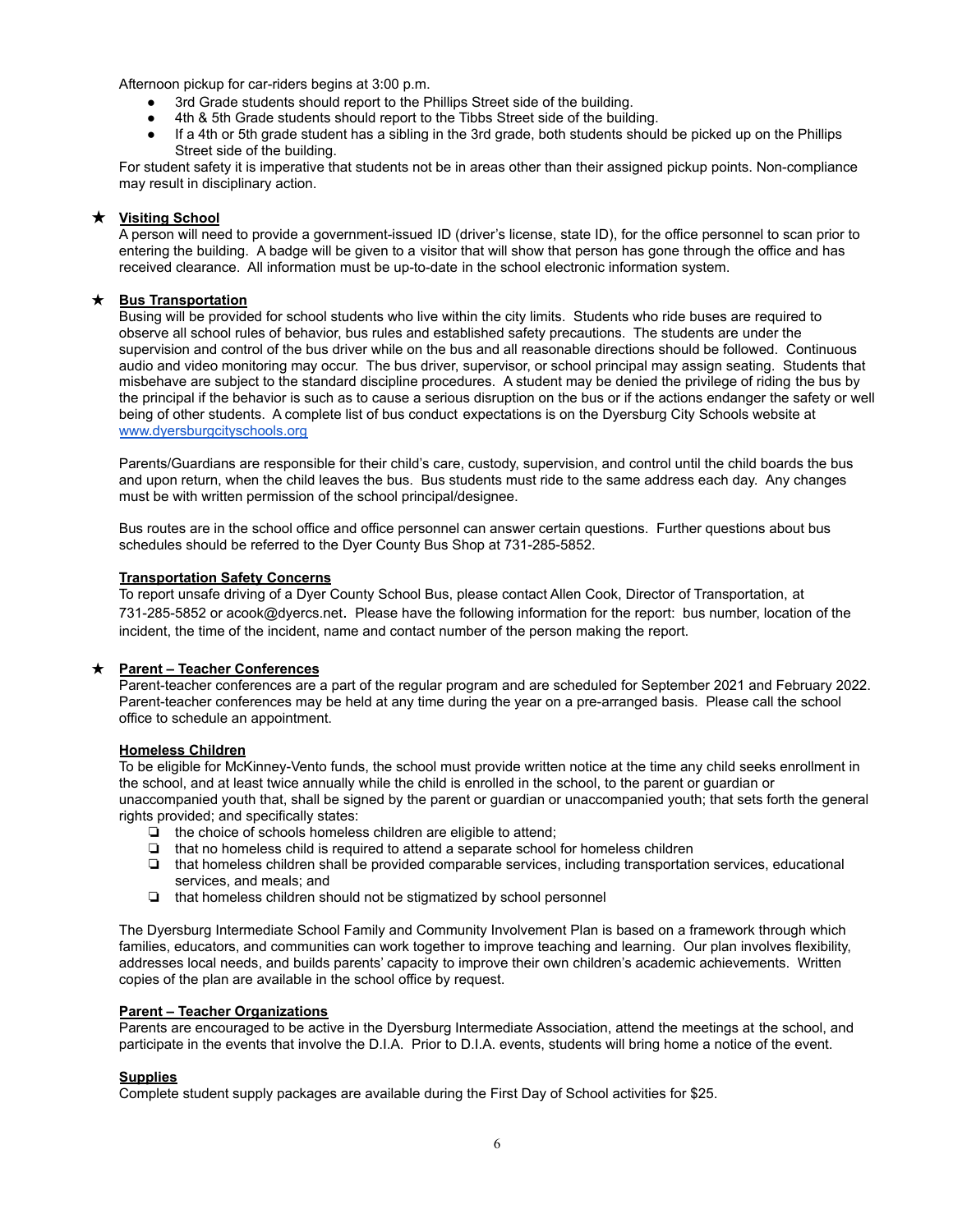Afternoon pickup for car-riders begins at 3:00 p.m.

- 3rd Grade students should report to the Phillips Street side of the building.
- 4th & 5th Grade students should report to the Tibbs Street side of the building.
- If a 4th or 5th grade student has a sibling in the 3rd grade, both students should be picked up on the Phillips Street side of the building.

For student safety it is imperative that students not be in areas other than their assigned pickup points. Non-compliance may result in disciplinary action.

#### ★ **Visiting School**

A person will need to provide a government-issued ID (driver's license, state ID), for the office personnel to scan prior to entering the building. A badge will be given to a visitor that will show that person has gone through the office and has received clearance. All information must be up-to-date in the school electronic information system.

#### ★ **Bus Transportation**

Busing will be provided for school students who live within the city limits. Students who ride buses are required to observe all school rules of behavior, bus rules and established safety precautions. The students are under the supervision and control of the bus driver while on the bus and all reasonable directions should be followed. Continuous audio and video monitoring may occur. The bus driver, supervisor, or school principal may assign seating. Students that misbehave are subject to the standard discipline procedures. A student may be denied the privilege of riding the bus by the principal if the behavior is such as to cause a serious disruption on the bus or if the actions endanger the safety or well being of other students. A complete list of bus conduct expectations is on the Dyersburg City Schools website at [www.dyersburgcityschools.org](http://www.dyersburgcityschools.org)

Parents/Guardians are responsible for their child's care, custody, supervision, and control until the child boards the bus and upon return, when the child leaves the bus. Bus students must ride to the same address each day. Any changes must be with written permission of the school principal/designee.

Bus routes are in the school office and office personnel can answer certain questions. Further questions about bus schedules should be referred to the Dyer County Bus Shop at 731-285-5852.

#### **Transportation Safety Concerns**

To report unsafe driving of a Dyer County School Bus, please contact Allen Cook, Director of Transportation, at 731-285-5852 or acook@dyercs.net. Please have the following information for the report: bus number, location of the incident, the time of the incident, name and contact number of the person making the report.

#### ★ **Parent – Teacher Conferences**

Parent-teacher conferences are a part of the regular program and are scheduled for September 2021 and February 2022. Parent-teacher conferences may be held at any time during the year on a pre-arranged basis. Please call the school office to schedule an appointment.

#### **Homeless Children**

To be eligible for McKinney-Vento funds, the school must provide written notice at the time any child seeks enrollment in the school, and at least twice annually while the child is enrolled in the school, to the parent or guardian or unaccompanied youth that, shall be signed by the parent or guardian or unaccompanied youth; that sets forth the general rights provided; and specifically states:

- ❏ the choice of schools homeless children are eligible to attend;
- ❏ that no homeless child is required to attend a separate school for homeless children
- ❏ that homeless children shall be provided comparable services, including transportation services, educational services, and meals; and
- ❏ that homeless children should not be stigmatized by school personnel

The Dyersburg Intermediate School Family and Community Involvement Plan is based on a framework through which families, educators, and communities can work together to improve teaching and learning. Our plan involves flexibility, addresses local needs, and builds parents' capacity to improve their own children's academic achievements. Written copies of the plan are available in the school office by request.

#### **Parent – Teacher Organizations**

Parents are encouraged to be active in the Dyersburg Intermediate Association, attend the meetings at the school, and participate in the events that involve the D.I.A. Prior to D.I.A. events, students will bring home a notice of the event.

#### **Supplies**

Complete student supply packages are available during the First Day of School activities for \$25.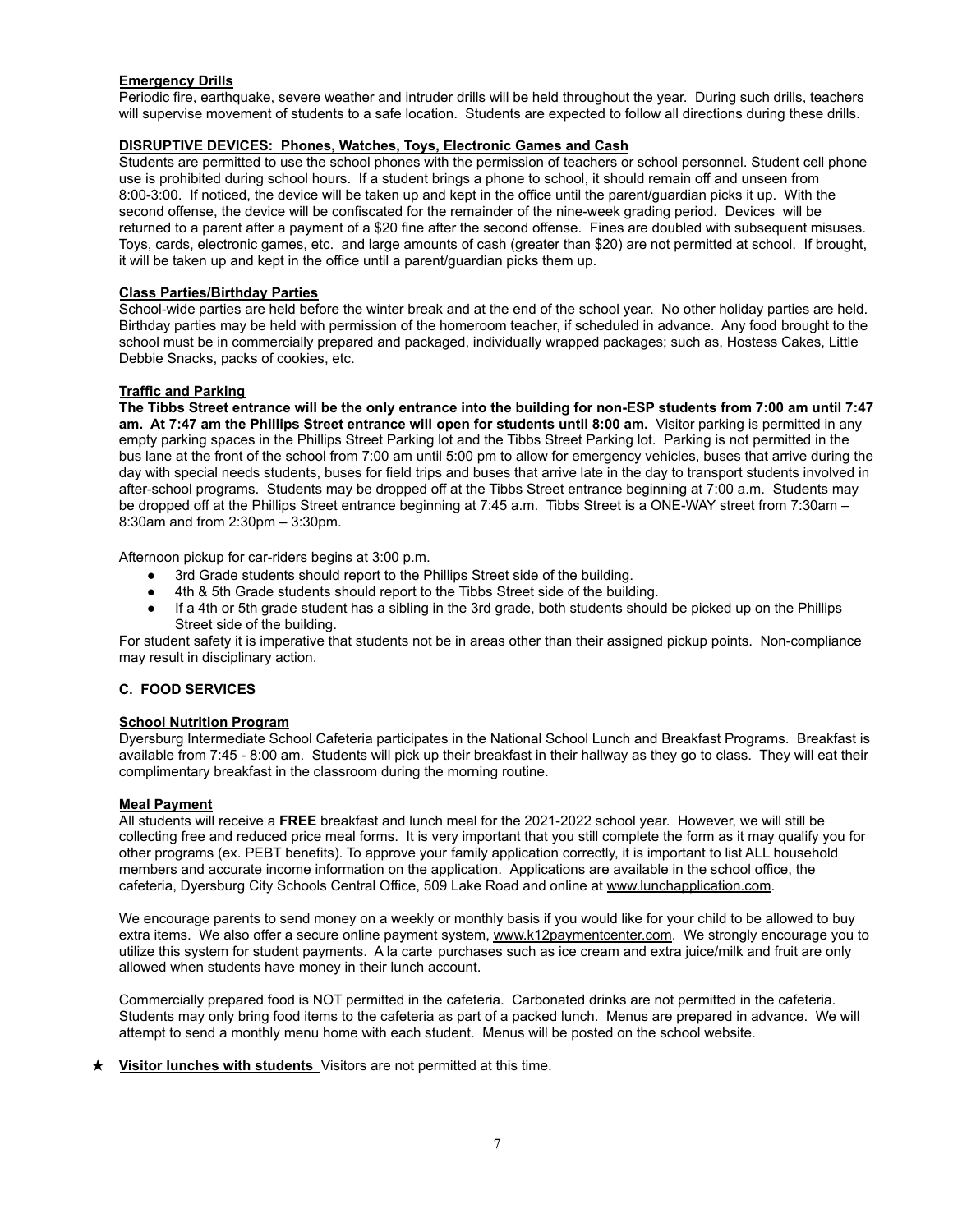#### **Emergency Drills**

Periodic fire, earthquake, severe weather and intruder drills will be held throughout the year. During such drills, teachers will supervise movement of students to a safe location. Students are expected to follow all directions during these drills.

#### **DISRUPTIVE DEVICES: Phones, Watches, Toys, Electronic Games and Cash**

Students are permitted to use the school phones with the permission of teachers or school personnel. Student cell phone use is prohibited during school hours. If a student brings a phone to school, it should remain off and unseen from 8:00-3:00. If noticed, the device will be taken up and kept in the office until the parent/guardian picks it up. With the second offense, the device will be confiscated for the remainder of the nine-week grading period. Devices will be returned to a parent after a payment of a \$20 fine after the second offense. Fines are doubled with subsequent misuses. Toys, cards, electronic games, etc. and large amounts of cash (greater than \$20) are not permitted at school. If brought, it will be taken up and kept in the office until a parent/guardian picks them up.

#### **Class Parties/Birthday Parties**

School-wide parties are held before the winter break and at the end of the school year. No other holiday parties are held. Birthday parties may be held with permission of the homeroom teacher, if scheduled in advance. Any food brought to the school must be in commercially prepared and packaged, individually wrapped packages; such as, Hostess Cakes, Little Debbie Snacks, packs of cookies, etc.

#### **Traffic and Parking**

**The Tibbs Street entrance will be the only entrance into the building for non-ESP students from 7:00 am until 7:47 am. At 7:47 am the Phillips Street entrance will open for students until 8:00 am.** Visitor parking is permitted in any empty parking spaces in the Phillips Street Parking lot and the Tibbs Street Parking lot. Parking is not permitted in the bus lane at the front of the school from 7:00 am until 5:00 pm to allow for emergency vehicles, buses that arrive during the day with special needs students, buses for field trips and buses that arrive late in the day to transport students involved in after-school programs. Students may be dropped off at the Tibbs Street entrance beginning at 7:00 a.m. Students may be dropped off at the Phillips Street entrance beginning at 7:45 a.m. Tibbs Street is a ONE-WAY street from 7:30am – 8:30am and from 2:30pm – 3:30pm.

Afternoon pickup for car-riders begins at 3:00 p.m.

- 3rd Grade students should report to the Phillips Street side of the building.
- 4th & 5th Grade students should report to the Tibbs Street side of the building.
- If a 4th or 5th grade student has a sibling in the 3rd grade, both students should be picked up on the Phillips Street side of the building.

For student safety it is imperative that students not be in areas other than their assigned pickup points. Non-compliance may result in disciplinary action.

#### **C. FOOD SERVICES**

#### **School Nutrition Program**

Dyersburg Intermediate School Cafeteria participates in the National School Lunch and Breakfast Programs. Breakfast is available from 7:45 - 8:00 am. Students will pick up their breakfast in their hallway as they go to class. They will eat their complimentary breakfast in the classroom during the morning routine.

#### **Meal Payment**

All students will receive a **FREE** breakfast and lunch meal for the 2021-2022 school year. However, we will still be collecting free and reduced price meal forms. It is very important that you still complete the form as it may qualify you for other programs (ex. PEBT benefits). To approve your family application correctly, it is important to list ALL household members and accurate income information on the application. Applications are available in the school office, the cafeteria, Dyersburg City Schools Central Office, 509 Lake Road and online at [www.lunchapplication.com.](http://www.lunchapplication.com/)

We encourage parents to send money on a weekly or monthly basis if you would like for your child to be allowed to buy extra items. We also offer a secure online payment system, [www.k12paymentcenter.com.](http://www.k12paymentcenter.com/) We strongly encourage you to utilize this system for student payments. A la carte purchases such as ice cream and extra juice/milk and fruit are only allowed when students have money in their lunch account.

Commercially prepared food is NOT permitted in the cafeteria. Carbonated drinks are not permitted in the cafeteria. Students may only bring food items to the cafeteria as part of a packed lunch. Menus are prepared in advance. We will attempt to send a monthly menu home with each student. Menus will be posted on the school website.

#### ★ **Visitor lunches with students** Visitors are not permitted at this time.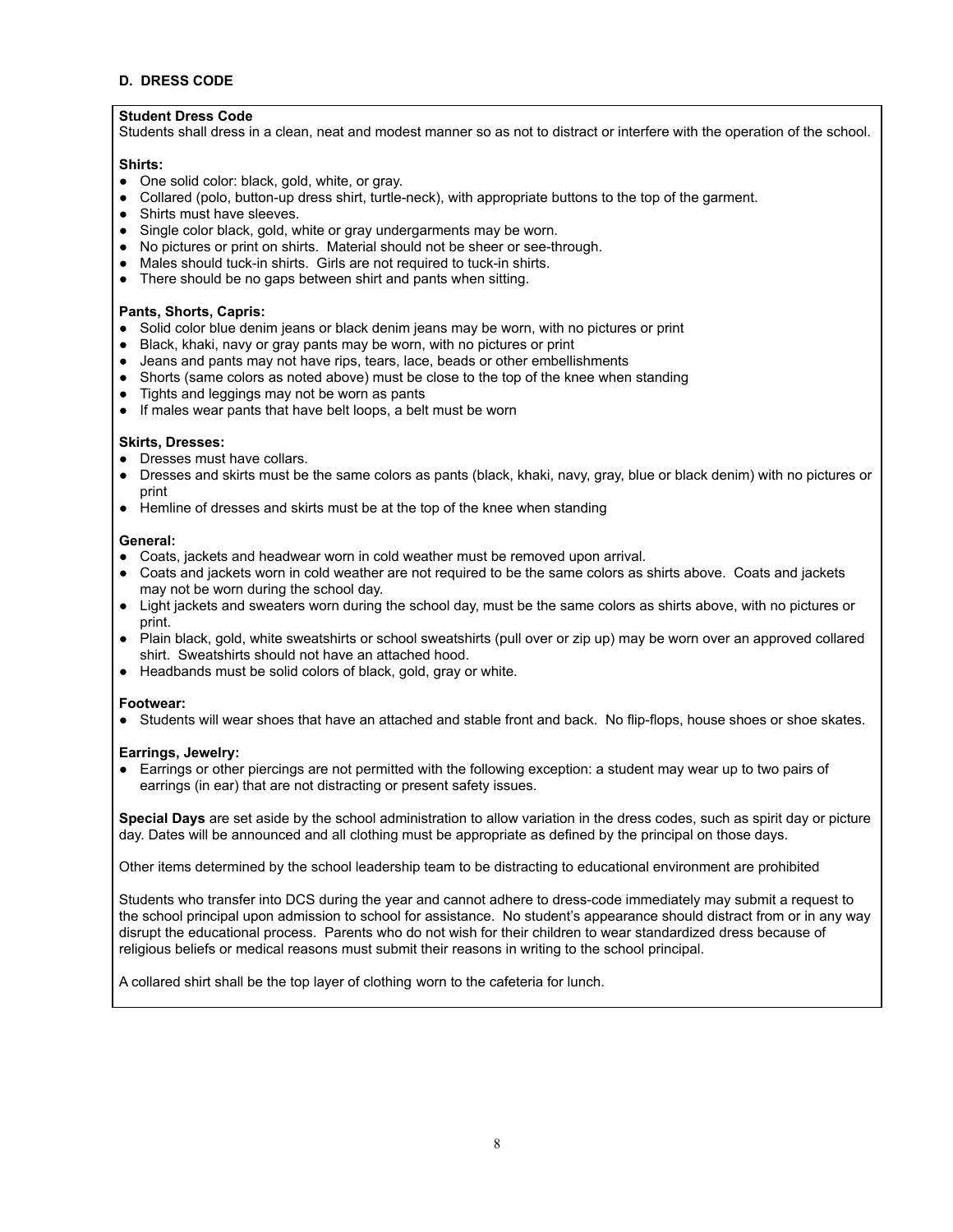#### **D. DRESS CODE**

#### **Student Dress Code**

Students shall dress in a clean, neat and modest manner so as not to distract or interfere with the operation of the school.

#### **Shirts:**

- One solid color: black, gold, white, or gray.
- Collared (polo, button-up dress shirt, turtle-neck), with appropriate buttons to the top of the garment.
- Shirts must have sleeves.
- Single color black, gold, white or gray undergarments may be worn.
- No pictures or print on shirts. Material should not be sheer or see-through.
- Males should tuck-in shirts. Girls are not required to tuck-in shirts.
- There should be no gaps between shirt and pants when sitting.

#### **Pants, Shorts, Capris:**

- Solid color blue denim jeans or black denim jeans may be worn, with no pictures or print
- Black, khaki, navy or gray pants may be worn, with no pictures or print
- Jeans and pants may not have rips, tears, lace, beads or other embellishments
- Shorts (same colors as noted above) must be close to the top of the knee when standing
- Tights and leggings may not be worn as pants
- If males wear pants that have belt loops, a belt must be worn

#### **Skirts, Dresses:**

- Dresses must have collars.
- Dresses and skirts must be the same colors as pants (black, khaki, navy, gray, blue or black denim) with no pictures or print
- Hemline of dresses and skirts must be at the top of the knee when standing

#### **General:**

- Coats, jackets and headwear worn in cold weather must be removed upon arrival.
- Coats and jackets worn in cold weather are not required to be the same colors as shirts above. Coats and jackets may not be worn during the school day.
- Light jackets and sweaters worn during the school day, must be the same colors as shirts above, with no pictures or print.
- Plain black, gold, white sweatshirts or school sweatshirts (pull over or zip up) may be worn over an approved collared shirt. Sweatshirts should not have an attached hood.
- Headbands must be solid colors of black, gold, gray or white.

#### **Footwear:**

● Students will wear shoes that have an attached and stable front and back. No flip-flops, house shoes or shoe skates.

#### **Earrings, Jewelry:**

● Earrings or other piercings are not permitted with the following exception: a student may wear up to two pairs of earrings (in ear) that are not distracting or present safety issues.

**Special Days** are set aside by the school administration to allow variation in the dress codes, such as spirit day or picture day. Dates will be announced and all clothing must be appropriate as defined by the principal on those days.

Other items determined by the school leadership team to be distracting to educational environment are prohibited

Students who transfer into DCS during the year and cannot adhere to dress-code immediately may submit a request to the school principal upon admission to school for assistance. No student's appearance should distract from or in any way disrupt the educational process. Parents who do not wish for their children to wear standardized dress because of religious beliefs or medical reasons must submit their reasons in writing to the school principal.

A collared shirt shall be the top layer of clothing worn to the cafeteria for lunch.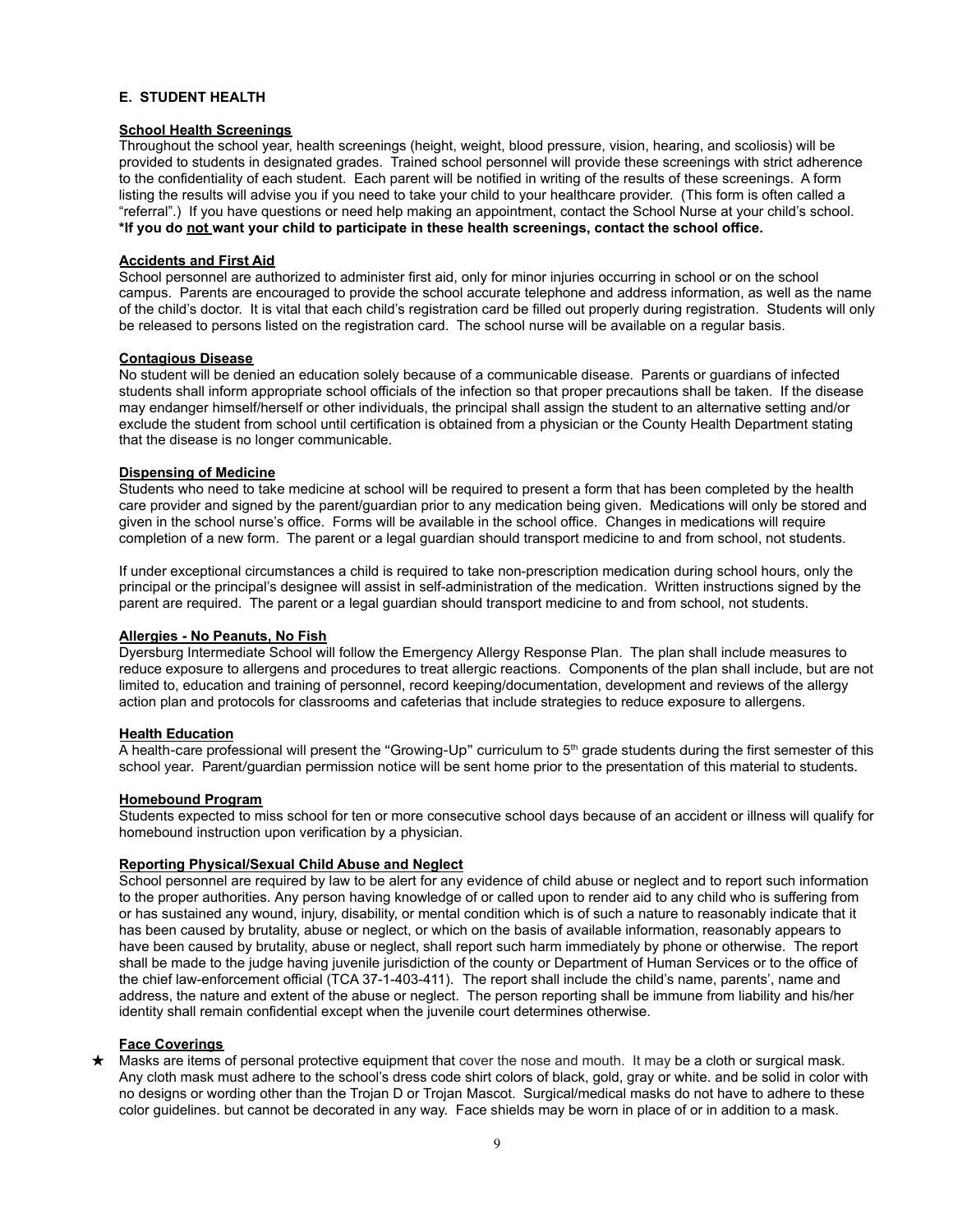#### **E. STUDENT HEALTH**

#### **School Health Screenings**

Throughout the school year, health screenings (height, weight, blood pressure, vision, hearing, and scoliosis) will be provided to students in designated grades. Trained school personnel will provide these screenings with strict adherence to the confidentiality of each student. Each parent will be notified in writing of the results of these screenings. A form listing the results will advise you if you need to take your child to your healthcare provider. (This form is often called a "referral".) If you have questions or need help making an appointment, contact the School Nurse at your child's school. **\*If you do not want your child to participate in these health screenings, contact the school office.**

#### **Accidents and First Aid**

School personnel are authorized to administer first aid, only for minor injuries occurring in school or on the school campus. Parents are encouraged to provide the school accurate telephone and address information, as well as the name of the child's doctor. It is vital that each child's registration card be filled out properly during registration. Students will only be released to persons listed on the registration card. The school nurse will be available on a regular basis.

#### **Contagious Disease**

No student will be denied an education solely because of a communicable disease. Parents or guardians of infected students shall inform appropriate school officials of the infection so that proper precautions shall be taken. If the disease may endanger himself/herself or other individuals, the principal shall assign the student to an alternative setting and/or exclude the student from school until certification is obtained from a physician or the County Health Department stating that the disease is no longer communicable.

#### **Dispensing of Medicine**

Students who need to take medicine at school will be required to present a form that has been completed by the health care provider and signed by the parent/guardian prior to any medication being given. Medications will only be stored and given in the school nurse's office. Forms will be available in the school office. Changes in medications will require completion of a new form. The parent or a legal guardian should transport medicine to and from school, not students.

If under exceptional circumstances a child is required to take non-prescription medication during school hours, only the principal or the principal's designee will assist in self-administration of the medication. Written instructions signed by the parent are required. The parent or a legal guardian should transport medicine to and from school, not students.

#### **Allergies - No Peanuts, No Fish**

Dyersburg Intermediate School will follow the Emergency Allergy Response Plan. The plan shall include measures to reduce exposure to allergens and procedures to treat allergic reactions. Components of the plan shall include, but are not limited to, education and training of personnel, record keeping/documentation, development and reviews of the allergy action plan and protocols for classrooms and cafeterias that include strategies to reduce exposure to allergens.

#### **Health Education**

A health-care professional will present the "Growing-Up" curriculum to  $5<sup>th</sup>$  grade students during the first semester of this school year. Parent/guardian permission notice will be sent home prior to the presentation of this material to students.

#### **Homebound Program**

Students expected to miss school for ten or more consecutive school days because of an accident or illness will qualify for homebound instruction upon verification by a physician.

#### **Reporting Physical/Sexual Child Abuse and Neglect**

School personnel are required by law to be alert for any evidence of child abuse or neglect and to report such information to the proper authorities. Any person having knowledge of or called upon to render aid to any child who is suffering from or has sustained any wound, injury, disability, or mental condition which is of such a nature to reasonably indicate that it has been caused by brutality, abuse or neglect, or which on the basis of available information, reasonably appears to have been caused by brutality, abuse or neglect, shall report such harm immediately by phone or otherwise. The report shall be made to the judge having juvenile jurisdiction of the county or Department of Human Services or to the office of the chief law-enforcement official (TCA 37-1-403-411). The report shall include the child's name, parents', name and address, the nature and extent of the abuse or neglect. The person reporting shall be immune from liability and his/her identity shall remain confidential except when the juvenile court determines otherwise.

#### **Face Coverings**

★ Masks are items of personal protective equipment that cover the nose and mouth. It may be a cloth or surgical mask. Any cloth mask must adhere to the school's dress code shirt colors of black, gold, gray or white. and be solid in color with no designs or wording other than the Trojan D or Trojan Mascot. Surgical/medical masks do not have to adhere to these color guidelines. but cannot be decorated in any way. Face shields may be worn in place of or in addition to a mask.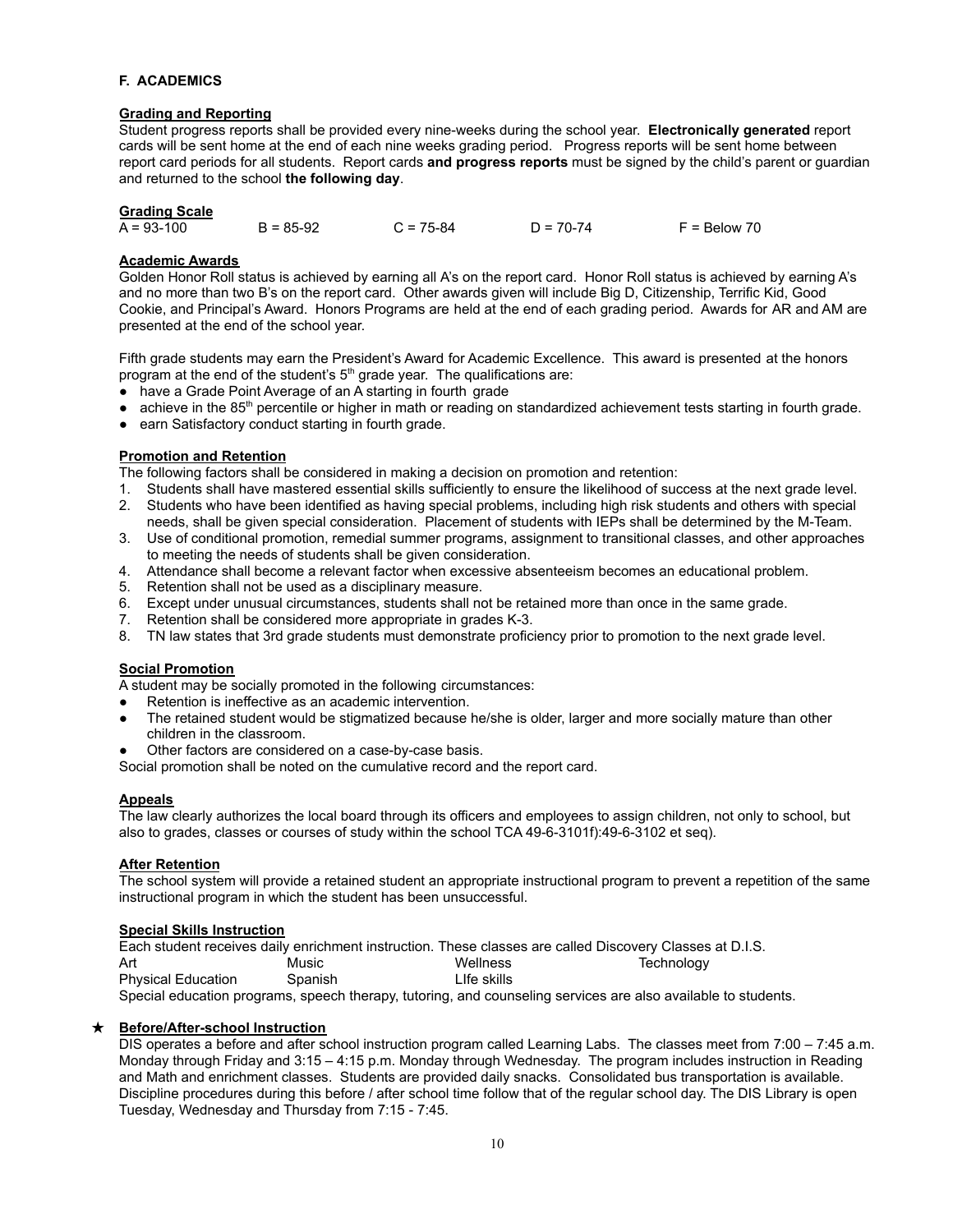#### **F. ACADEMICS**

#### **Grading and Reporting**

Student progress reports shall be provided every nine-weeks during the school year. **Electronically generated** report cards will be sent home at the end of each nine weeks grading period. Progress reports will be sent home between report card periods for all students. Report cards **and progress reports** must be signed by the child's parent or guardian and returned to the school **the following day**.

#### **Grading Scale**

|  | $A = 93 - 100$ | $B = 85-92$ | $C = 75-84$ | $D = 70-74$ | $F = Below 70$ |
|--|----------------|-------------|-------------|-------------|----------------|
|--|----------------|-------------|-------------|-------------|----------------|

#### **Academic Awards**

Golden Honor Roll status is achieved by earning all A's on the report card. Honor Roll status is achieved by earning A's and no more than two B's on the report card. Other awards given will include Big D, Citizenship, Terrific Kid, Good Cookie, and Principal's Award. Honors Programs are held at the end of each grading period. Awards for AR and AM are presented at the end of the school year.

Fifth grade students may earn the President's Award for Academic Excellence. This award is presented at the honors program at the end of the student's 5<sup>th</sup> grade year. The qualifications are:

- have a Grade Point Average of an A starting in fourth grade
- achieve in the 85<sup>th</sup> percentile or higher in math or reading on standardized achievement tests starting in fourth grade.
- earn Satisfactory conduct starting in fourth grade.

#### **Promotion and Retention**

The following factors shall be considered in making a decision on promotion and retention:

- 1. Students shall have mastered essential skills sufficiently to ensure the likelihood of success at the next grade level.
- 2. Students who have been identified as having special problems, including high risk students and others with special needs, shall be given special consideration. Placement of students with IEPs shall be determined by the M-Team.
- 3. Use of conditional promotion, remedial summer programs, assignment to transitional classes, and other approaches to meeting the needs of students shall be given consideration.
- 4. Attendance shall become a relevant factor when excessive absenteeism becomes an educational problem.
- 5. Retention shall not be used as a disciplinary measure.
- 6. Except under unusual circumstances, students shall not be retained more than once in the same grade.
- 7. Retention shall be considered more appropriate in grades K-3.
- 8. TN law states that 3rd grade students must demonstrate proficiency prior to promotion to the next grade level.

#### **Social Promotion**

A student may be socially promoted in the following circumstances:

- Retention is ineffective as an academic intervention.
- The retained student would be stigmatized because he/she is older, larger and more socially mature than other children in the classroom.
- Other factors are considered on a case-by-case basis.

Social promotion shall be noted on the cumulative record and the report card.

#### **Appeals**

The law clearly authorizes the local board through its officers and employees to assign children, not only to school, but also to grades, classes or courses of study within the school TCA 49-6-3101f):49-6-3102 et seq).

#### **After Retention**

The school system will provide a retained student an appropriate instructional program to prevent a repetition of the same instructional program in which the student has been unsuccessful.

#### **Special Skills Instruction**

|                           |         |              | Each student receives daily enrichment instruction. These classes are called Discovery Classes at D.I.S.      |  |
|---------------------------|---------|--------------|---------------------------------------------------------------------------------------------------------------|--|
| Art                       | Music   | Wellness     | Technoloav                                                                                                    |  |
| <b>Physical Education</b> | Spanish | I Ife skills |                                                                                                               |  |
|                           |         |              | Special education programs, speech therapy, tutoring, and counseling services are also available to students. |  |

#### ★ **Before/After-school Instruction**

DIS operates a before and after school instruction program called Learning Labs. The classes meet from 7:00 – 7:45 a.m. Monday through Friday and 3:15 – 4:15 p.m. Monday through Wednesday. The program includes instruction in Reading and Math and enrichment classes. Students are provided daily snacks. Consolidated bus transportation is available. Discipline procedures during this before / after school time follow that of the regular school day. The DIS Library is open Tuesday, Wednesday and Thursday from 7:15 - 7:45.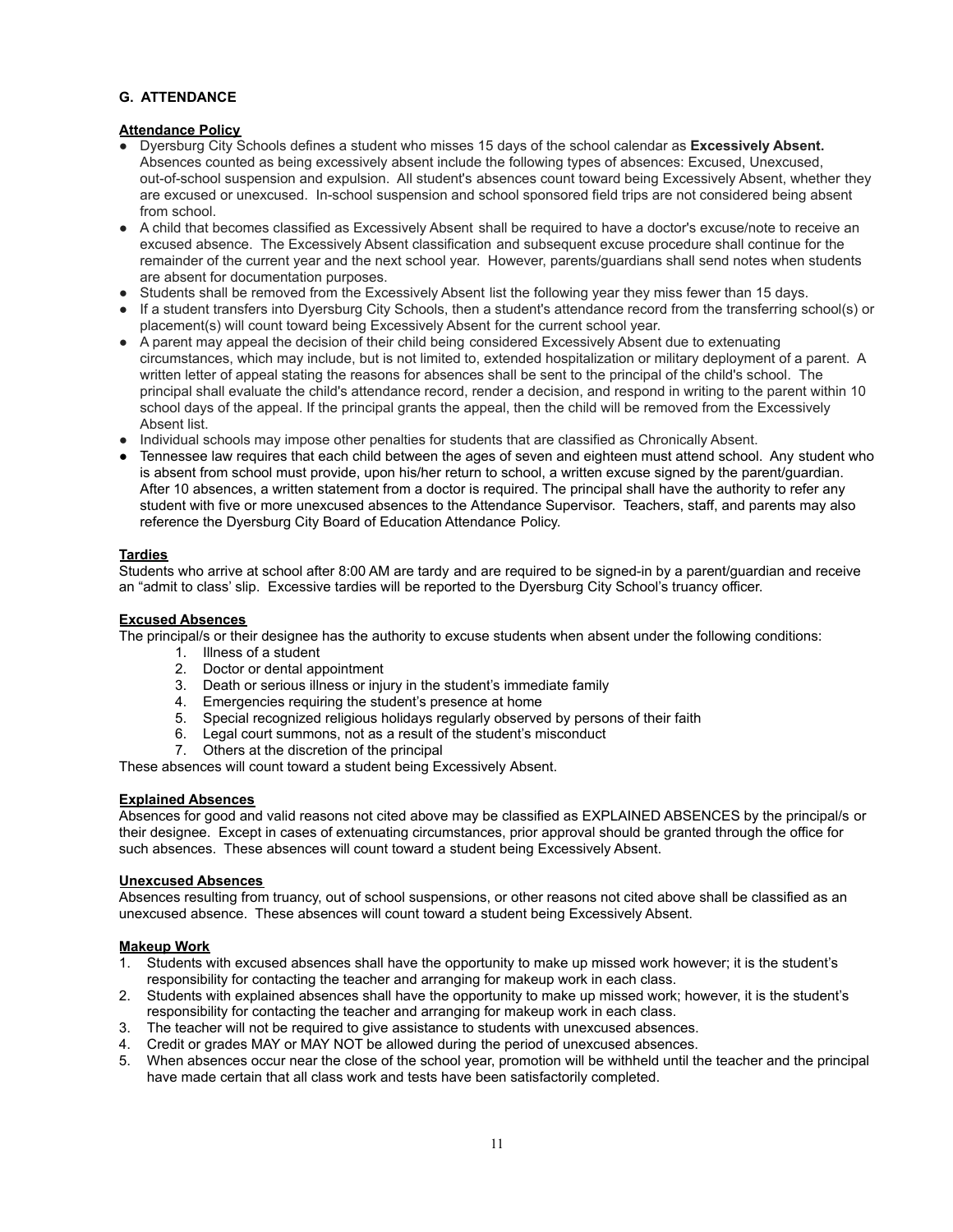#### **G. ATTENDANCE**

#### **Attendance Policy**

- Dyersburg City Schools defines a student who misses 15 days of the school calendar as **Excessively Absent.** Absences counted as being excessively absent include the following types of absences: Excused, Unexcused, out-of-school suspension and expulsion. All student's absences count toward being Excessively Absent, whether they are excused or unexcused. In-school suspension and school sponsored field trips are not considered being absent from school.
- A child that becomes classified as Excessively Absent shall be required to have a doctor's excuse/note to receive an excused absence. The Excessively Absent classification and subsequent excuse procedure shall continue for the remainder of the current year and the next school year. However, parents/guardians shall send notes when students are absent for documentation purposes.
- Students shall be removed from the Excessively Absent list the following year they miss fewer than 15 days.
- If a student transfers into Dyersburg City Schools, then a student's attendance record from the transferring school(s) or placement(s) will count toward being Excessively Absent for the current school year.
- A parent may appeal the decision of their child being considered Excessively Absent due to extenuating circumstances, which may include, but is not limited to, extended hospitalization or military deployment of a parent. A written letter of appeal stating the reasons for absences shall be sent to the principal of the child's school. The principal shall evaluate the child's attendance record, render a decision, and respond in writing to the parent within 10 school days of the appeal. If the principal grants the appeal, then the child will be removed from the Excessively Absent list.
- Individual schools may impose other penalties for students that are classified as Chronically Absent.
- Tennessee law requires that each child between the ages of seven and eighteen must attend school. Any student who is absent from school must provide, upon his/her return to school, a written excuse signed by the parent/guardian. After 10 absences, a written statement from a doctor is required. The principal shall have the authority to refer any student with five or more unexcused absences to the Attendance Supervisor. Teachers, staff, and parents may also reference the Dyersburg City Board of Education Attendance Policy.

#### **Tardies**

Students who arrive at school after 8:00 AM are tardy and are required to be signed-in by a parent/guardian and receive an "admit to class' slip. Excessive tardies will be reported to the Dyersburg City School's truancy officer.

#### **Excused Absences**

The principal/s or their designee has the authority to excuse students when absent under the following conditions:

- 1. Illness of a student
- 2. Doctor or dental appointment
- 3. Death or serious illness or injury in the student's immediate family
- 4. Emergencies requiring the student's presence at home
- 5. Special recognized religious holidays regularly observed by persons of their faith
- 6. Legal court summons, not as a result of the student's misconduct
- 7. Others at the discretion of the principal

These absences will count toward a student being Excessively Absent.

#### **Explained Absences**

Absences for good and valid reasons not cited above may be classified as EXPLAINED ABSENCES by the principal/s or their designee. Except in cases of extenuating circumstances, prior approval should be granted through the office for such absences. These absences will count toward a student being Excessively Absent.

#### **Unexcused Absences**

Absences resulting from truancy, out of school suspensions, or other reasons not cited above shall be classified as an unexcused absence. These absences will count toward a student being Excessively Absent.

#### **Makeup Work**

- 1. Students with excused absences shall have the opportunity to make up missed work however; it is the student's responsibility for contacting the teacher and arranging for makeup work in each class.
- 2. Students with explained absences shall have the opportunity to make up missed work; however, it is the student's responsibility for contacting the teacher and arranging for makeup work in each class.
- 3. The teacher will not be required to give assistance to students with unexcused absences.
- 4. Credit or grades MAY or MAY NOT be allowed during the period of unexcused absences.
- 5. When absences occur near the close of the school year, promotion will be withheld until the teacher and the principal have made certain that all class work and tests have been satisfactorily completed.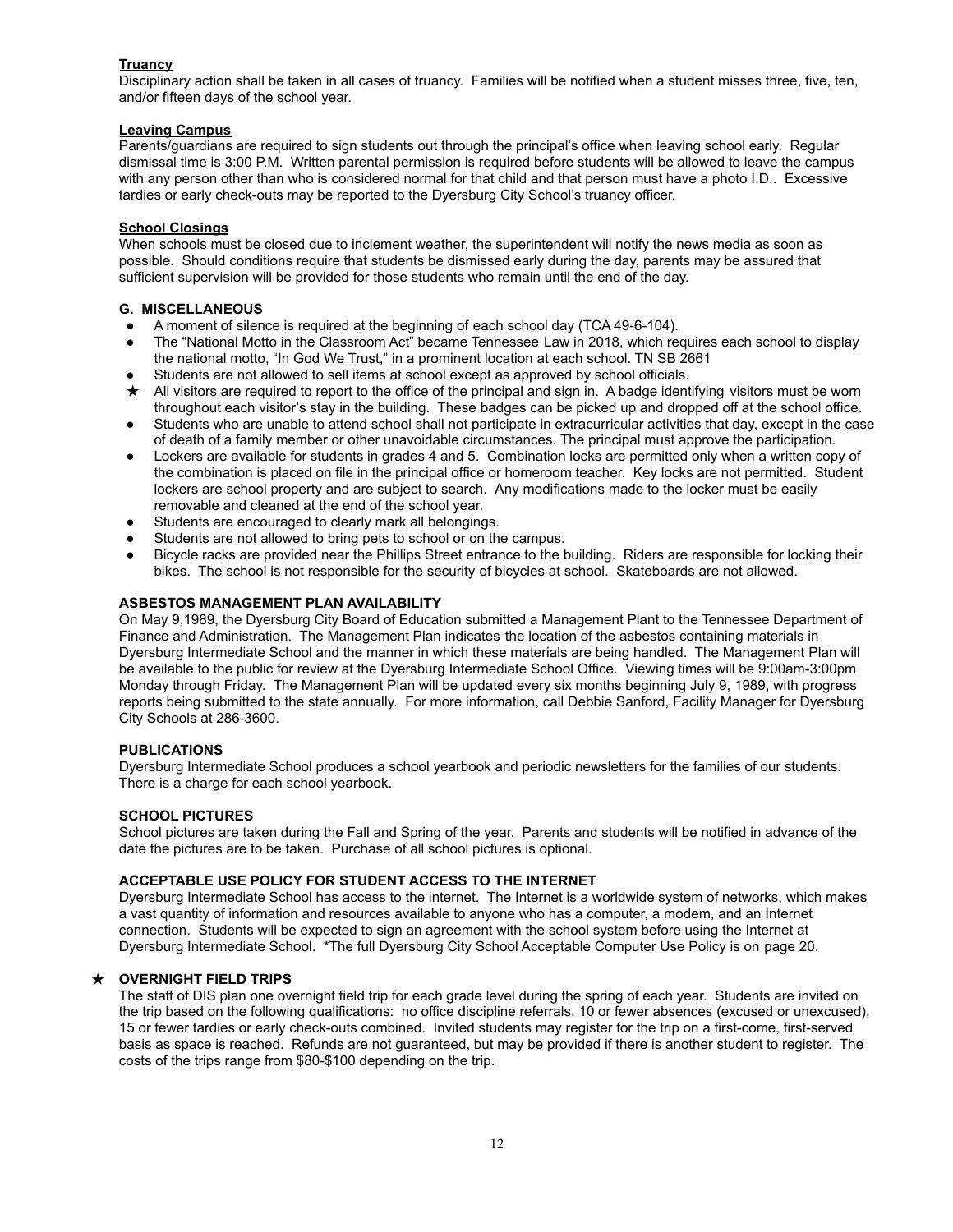#### **Truancy**

Disciplinary action shall be taken in all cases of truancy. Families will be notified when a student misses three, five, ten, and/or fifteen days of the school year.

#### **Leaving Campus**

Parents/guardians are required to sign students out through the principal's office when leaving school early. Regular dismissal time is 3:00 P.M. Written parental permission is required before students will be allowed to leave the campus with any person other than who is considered normal for that child and that person must have a photo I.D.. Excessive tardies or early check-outs may be reported to the Dyersburg City School's truancy officer.

#### **School Closings**

When schools must be closed due to inclement weather, the superintendent will notify the news media as soon as possible. Should conditions require that students be dismissed early during the day, parents may be assured that sufficient supervision will be provided for those students who remain until the end of the day.

#### **G. MISCELLANEOUS**

- A moment of silence is required at the beginning of each school day (TCA 49-6-104).
- The "National Motto in the Classroom Act" became Tennessee Law in 2018, which requires each school to display the national motto, "In God We Trust," in a prominent location at each school. TN SB 2661
- Students are not allowed to sell items at school except as approved by school officials.
- ★ All visitors are required to report to the office of the principal and sign in. A badge identifying visitors must be worn throughout each visitor's stay in the building. These badges can be picked up and dropped off at the school office.
- Students who are unable to attend school shall not participate in extracurricular activities that day, except in the case of death of a family member or other unavoidable circumstances. The principal must approve the participation.
- Lockers are available for students in grades 4 and 5. Combination locks are permitted only when a written copy of the combination is placed on file in the principal office or homeroom teacher. Key locks are not permitted. Student lockers are school property and are subject to search. Any modifications made to the locker must be easily removable and cleaned at the end of the school year.
- Students are encouraged to clearly mark all belongings.
- Students are not allowed to bring pets to school or on the campus.
- Bicycle racks are provided near the Phillips Street entrance to the building. Riders are responsible for locking their bikes. The school is not responsible for the security of bicycles at school. Skateboards are not allowed.

#### **ASBESTOS MANAGEMENT PLAN AVAILABILITY**

On May 9,1989, the Dyersburg City Board of Education submitted a Management Plant to the Tennessee Department of Finance and Administration. The Management Plan indicates the location of the asbestos containing materials in Dyersburg Intermediate School and the manner in which these materials are being handled. The Management Plan will be available to the public for review at the Dyersburg Intermediate School Office. Viewing times will be 9:00am-3:00pm Monday through Friday. The Management Plan will be updated every six months beginning July 9, 1989, with progress reports being submitted to the state annually. For more information, call Debbie Sanford, Facility Manager for Dyersburg City Schools at 286-3600.

#### **PUBLICATIONS**

Dyersburg Intermediate School produces a school yearbook and periodic newsletters for the families of our students. There is a charge for each school yearbook.

#### **SCHOOL PICTURES**

School pictures are taken during the Fall and Spring of the year. Parents and students will be notified in advance of the date the pictures are to be taken. Purchase of all school pictures is optional.

#### **ACCEPTABLE USE POLICY FOR STUDENT ACCESS TO THE INTERNET**

Dyersburg Intermediate School has access to the internet. The Internet is a worldwide system of networks, which makes a vast quantity of information and resources available to anyone who has a computer, a modem, and an Internet connection. Students will be expected to sign an agreement with the school system before using the Internet at Dyersburg Intermediate School. \*The full Dyersburg City School Acceptable Computer Use Policy is on page 20.

#### ★ **OVERNIGHT FIELD TRIPS**

The staff of DIS plan one overnight field trip for each grade level during the spring of each year. Students are invited on the trip based on the following qualifications: no office discipline referrals, 10 or fewer absences (excused or unexcused), 15 or fewer tardies or early check-outs combined. Invited students may register for the trip on a first-come, first-served basis as space is reached. Refunds are not guaranteed, but may be provided if there is another student to register. The costs of the trips range from \$80-\$100 depending on the trip.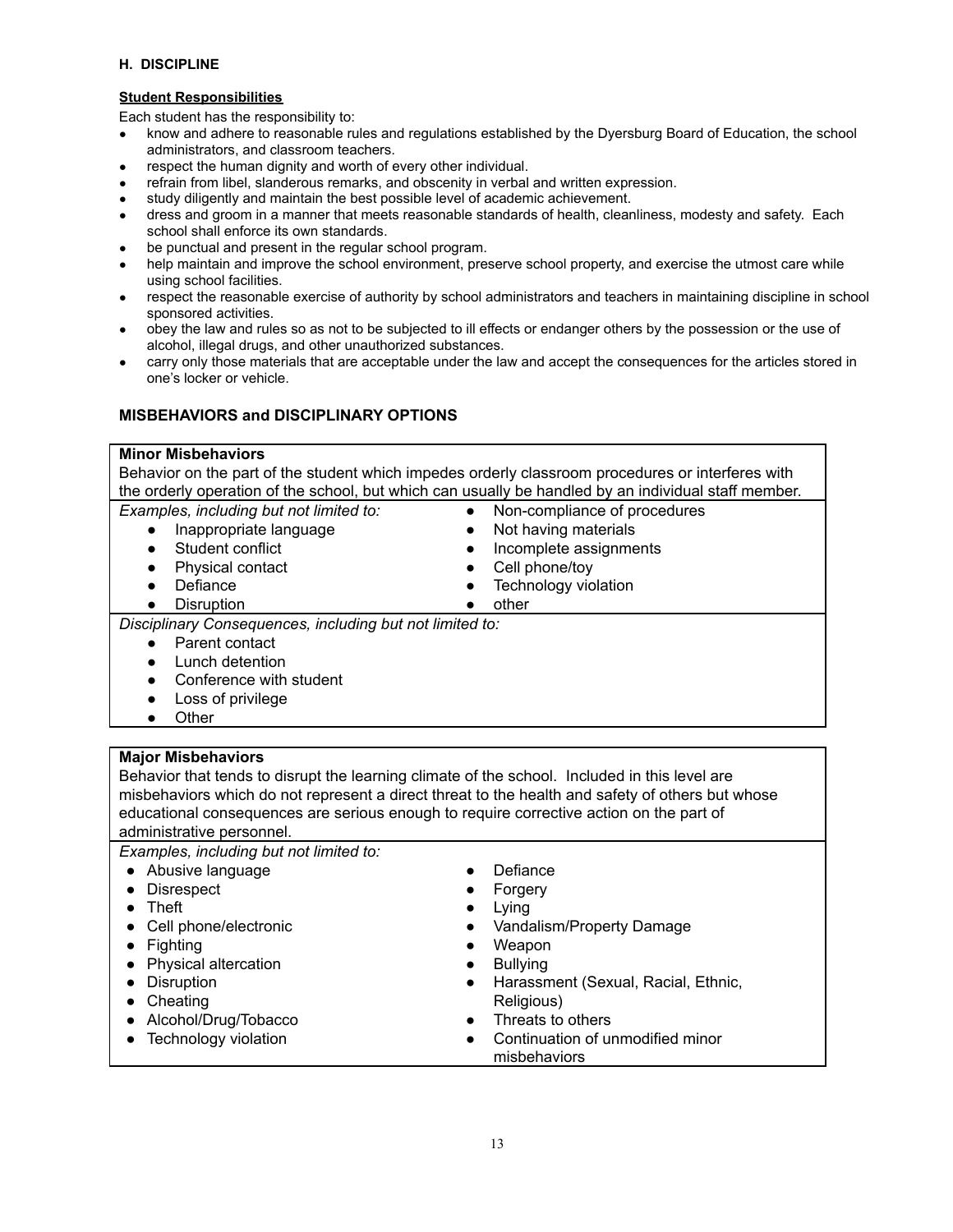#### **H. DISCIPLINE**

#### **Student Responsibilities**

Each student has the responsibility to:

- know and adhere to reasonable rules and regulations established by the Dyersburg Board of Education, the school administrators, and classroom teachers.
- respect the human dignity and worth of every other individual.
- refrain from libel, slanderous remarks, and obscenity in verbal and written expression.
- study diligently and maintain the best possible level of academic achievement.
- dress and groom in a manner that meets reasonable standards of health, cleanliness, modesty and safety. Each school shall enforce its own standards.
- be punctual and present in the regular school program.
- help maintain and improve the school environment, preserve school property, and exercise the utmost care while using school facilities.
- respect the reasonable exercise of authority by school administrators and teachers in maintaining discipline in school sponsored activities.
- obey the law and rules so as not to be subjected to ill effects or endanger others by the possession or the use of alcohol, illegal drugs, and other unauthorized substances.
- carry only those materials that are acceptable under the law and accept the consequences for the articles stored in one's locker or vehicle.

#### **MISBEHAVIORS and DISCIPLINARY OPTIONS**

#### **Minor Misbehaviors**

Behavior on the part of the student which impedes orderly classroom procedures or interferes with the orderly operation of the school, but which can usually be handled by an individual staff member. *Examples, including but not limited to:* ● Non-compliance of procedures

- Inappropriate language
- Student conflict
- Physical contact
- Defiance
- Disruption

● Cell phone/tov • Technology violation

● Not having materials • Incomplete assignments

● other

*Disciplinary Consequences, including but not limited to:*

- Parent contact
- **Lunch detention**
- Conference with student
- Loss of privilege
- Other

#### **Major Misbehaviors**

Behavior that tends to disrupt the learning climate of the school. Included in this level are misbehaviors which do not represent a direct threat to the health and safety of others but whose educational consequences are serious enough to require corrective action on the part of administrative personnel.

#### *Examples, including but not limited to:*

| • Abusive language      | Defiance<br>$\bullet$                            |
|-------------------------|--------------------------------------------------|
| • Disrespect            | Forgery<br>$\bullet$                             |
| $\bullet$ Theft         | Lying<br>$\bullet$                               |
| • Cell phone/electronic | Vandalism/Property Damage<br>$\bullet$           |
| $\bullet$ Fighting      | Weapon<br>$\bullet$                              |
| • Physical altercation  | <b>Bullying</b><br>$\bullet$                     |
| • Disruption            | Harassment (Sexual, Racial, Ethnic,<br>$\bullet$ |
| $\bullet$ Cheating      | Religious)                                       |
| • Alcohol/Drug/Tobacco  | Threats to others<br>$\bullet$                   |
| • Technology violation  | Continuation of unmodified minor<br>$\bullet$    |
|                         | misbehaviors                                     |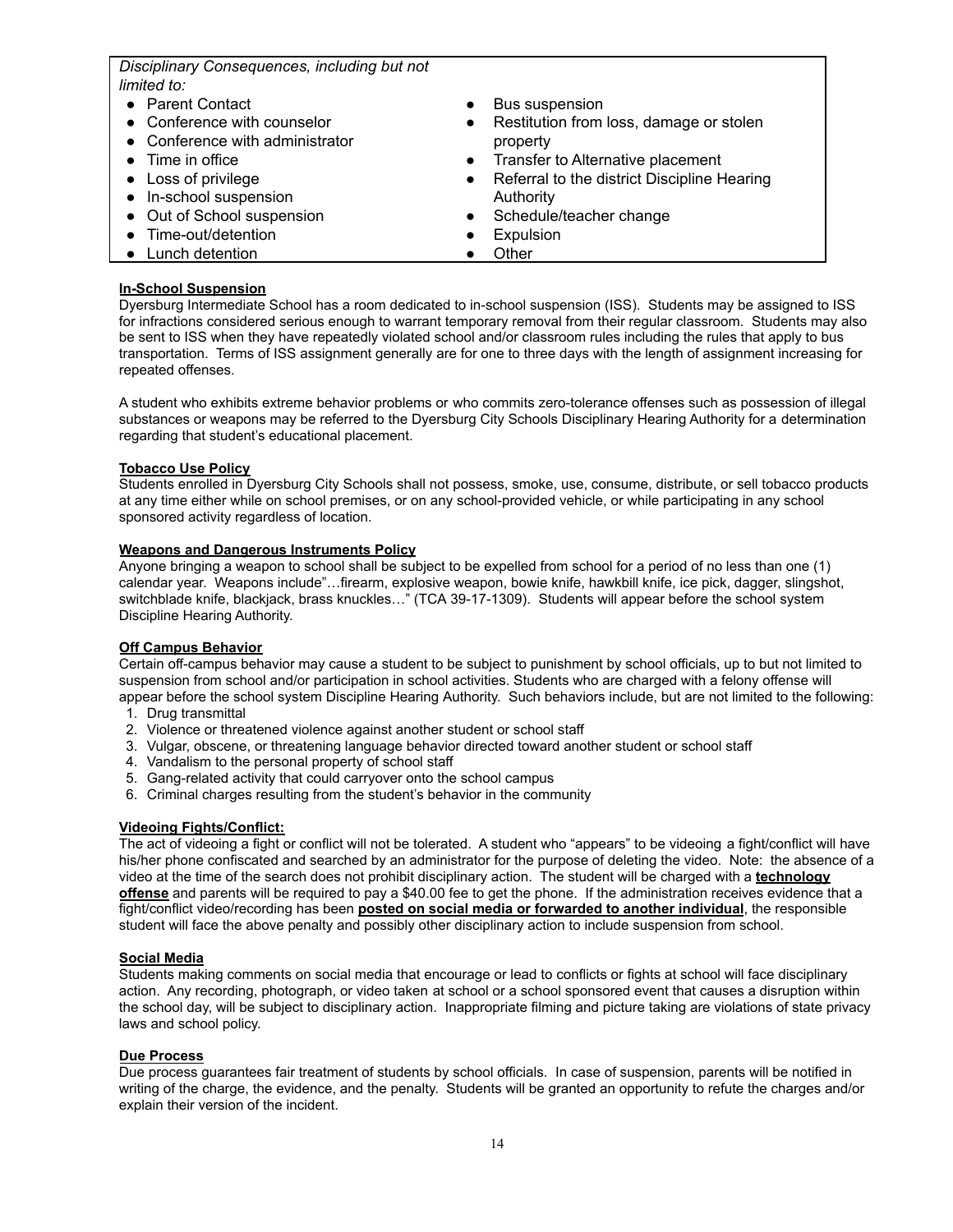*Disciplinary Consequences, including but not limited to: ●* Parent Contact *●* Conference with counselor ● Conference with administrator ● Time in office ● Loss of privilege ● In-school suspension ● Out of School suspension ● Time-out/detention • Lunch detention ● Bus suspension Restitution from loss, damage or stolen property ● Transfer to Alternative placement ● Referral to the district Discipline Hearing Authority Schedule/teacher change **Expulsion Other** 

#### **In-School Suspension**

Dyersburg Intermediate School has a room dedicated to in-school suspension (ISS). Students may be assigned to ISS for infractions considered serious enough to warrant temporary removal from their regular classroom. Students may also be sent to ISS when they have repeatedly violated school and/or classroom rules including the rules that apply to bus transportation. Terms of ISS assignment generally are for one to three days with the length of assignment increasing for repeated offenses.

A student who exhibits extreme behavior problems or who commits zero-tolerance offenses such as possession of illegal substances or weapons may be referred to the Dyersburg City Schools Disciplinary Hearing Authority for a determination regarding that student's educational placement.

#### **Tobacco Use Policy**

Students enrolled in Dyersburg City Schools shall not possess, smoke, use, consume, distribute, or sell tobacco products at any time either while on school premises, or on any school-provided vehicle, or while participating in any school sponsored activity regardless of location.

#### **Weapons and Dangerous Instruments Policy**

Anyone bringing a weapon to school shall be subject to be expelled from school for a period of no less than one (1) calendar year. Weapons include"…firearm, explosive weapon, bowie knife, hawkbill knife, ice pick, dagger, slingshot, switchblade knife, blackjack, brass knuckles…" (TCA 39-17-1309). Students will appear before the school system Discipline Hearing Authority.

#### **Off Campus Behavior**

Certain off-campus behavior may cause a student to be subject to punishment by school officials, up to but not limited to suspension from school and/or participation in school activities. Students who are charged with a felony offense will appear before the school system Discipline Hearing Authority. Such behaviors include, but are not limited to the following:

- 1. Drug transmittal
- 2. Violence or threatened violence against another student or school staff
- 3. Vulgar, obscene, or threatening language behavior directed toward another student or school staff
- 4. Vandalism to the personal property of school staff
- 5. Gang-related activity that could carryover onto the school campus
- 6. Criminal charges resulting from the student's behavior in the community

#### **Videoing Fights/Conflict:**

The act of videoing a fight or conflict will not be tolerated. A student who "appears" to be videoing a fight/conflict will have his/her phone confiscated and searched by an administrator for the purpose of deleting the video. Note: the absence of a video at the time of the search does not prohibit disciplinary action. The student will be charged with a **technology offense** and parents will be required to pay a \$40.00 fee to get the phone. If the administration receives evidence that a fight/conflict video/recording has been **posted on social media or forwarded to another individual**, the responsible student will face the above penalty and possibly other disciplinary action to include suspension from school.

#### **Social Media**

Students making comments on social media that encourage or lead to conflicts or fights at school will face disciplinary action. Any recording, photograph, or video taken at school or a school sponsored event that causes a disruption within the school day, will be subject to disciplinary action. Inappropriate filming and picture taking are violations of state privacy laws and school policy.

#### **Due Process**

Due process guarantees fair treatment of students by school officials. In case of suspension, parents will be notified in writing of the charge, the evidence, and the penalty. Students will be granted an opportunity to refute the charges and/or explain their version of the incident.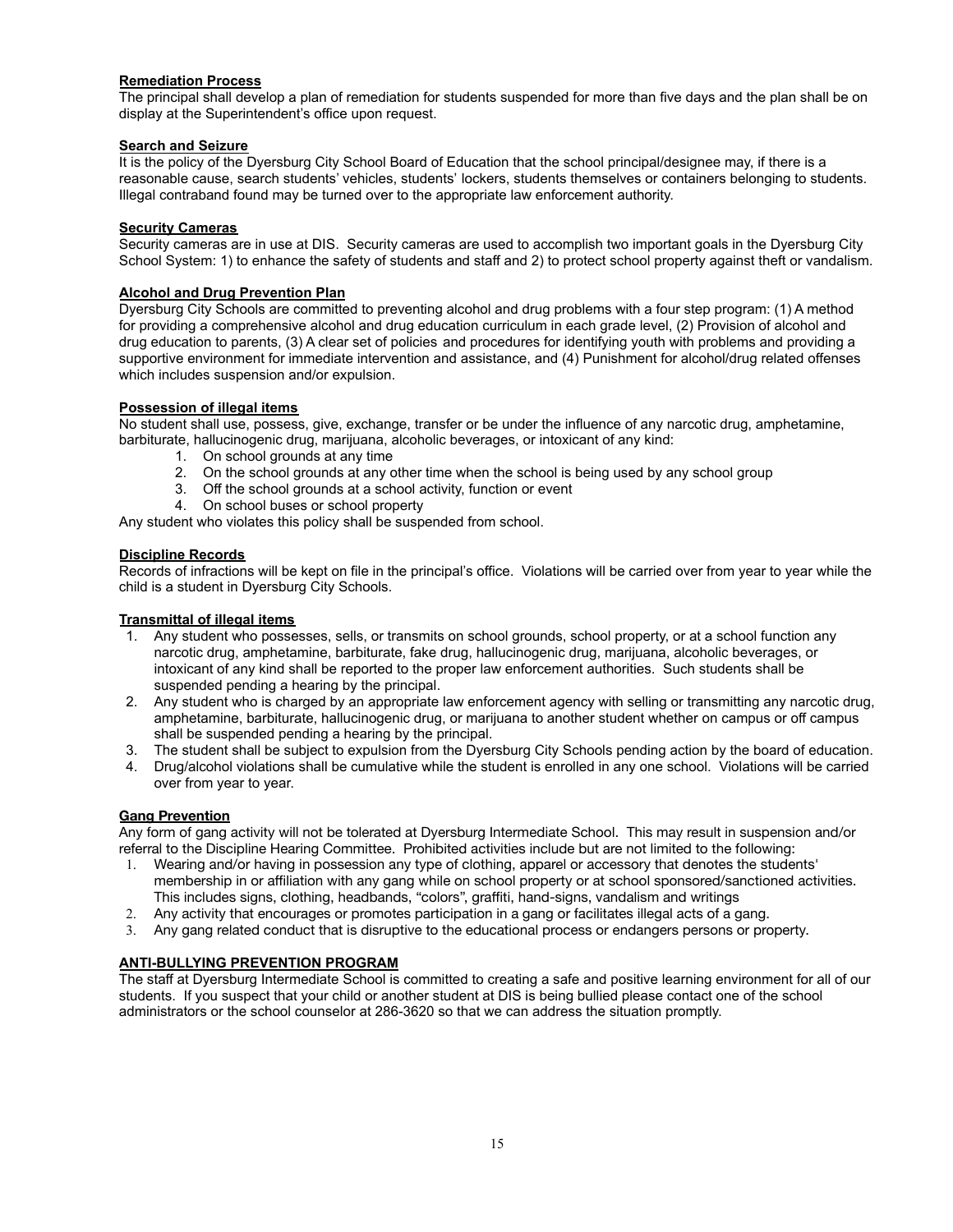#### **Remediation Process**

The principal shall develop a plan of remediation for students suspended for more than five days and the plan shall be on display at the Superintendent's office upon request.

#### **Search and Seizure**

It is the policy of the Dyersburg City School Board of Education that the school principal/designee may, if there is a reasonable cause, search students' vehicles, students' lockers, students themselves or containers belonging to students. Illegal contraband found may be turned over to the appropriate law enforcement authority.

#### **Security Cameras**

Security cameras are in use at DIS. Security cameras are used to accomplish two important goals in the Dyersburg City School System: 1) to enhance the safety of students and staff and 2) to protect school property against theft or vandalism.

#### **Alcohol and Drug Prevention Plan**

Dyersburg City Schools are committed to preventing alcohol and drug problems with a four step program: (1) A method for providing a comprehensive alcohol and drug education curriculum in each grade level, (2) Provision of alcohol and drug education to parents, (3) A clear set of policies and procedures for identifying youth with problems and providing a supportive environment for immediate intervention and assistance, and (4) Punishment for alcohol/drug related offenses which includes suspension and/or expulsion.

#### **Possession of illegal items**

No student shall use, possess, give, exchange, transfer or be under the influence of any narcotic drug, amphetamine, barbiturate, hallucinogenic drug, marijuana, alcoholic beverages, or intoxicant of any kind:

- 1. On school grounds at any time
- 2. On the school grounds at any other time when the school is being used by any school group
- 3. Off the school grounds at a school activity, function or event
- 4. On school buses or school property

Any student who violates this policy shall be suspended from school.

#### **Discipline Records**

Records of infractions will be kept on file in the principal's office. Violations will be carried over from year to year while the child is a student in Dyersburg City Schools.

#### **Transmittal of illegal items**

- 1. Any student who possesses, sells, or transmits on school grounds, school property, or at a school function any narcotic drug, amphetamine, barbiturate, fake drug, hallucinogenic drug, marijuana, alcoholic beverages, or intoxicant of any kind shall be reported to the proper law enforcement authorities. Such students shall be suspended pending a hearing by the principal.
- 2. Any student who is charged by an appropriate law enforcement agency with selling or transmitting any narcotic drug, amphetamine, barbiturate, hallucinogenic drug, or marijuana to another student whether on campus or off campus shall be suspended pending a hearing by the principal.
- 3. The student shall be subject to expulsion from the Dyersburg City Schools pending action by the board of education.
- 4. Drug/alcohol violations shall be cumulative while the student is enrolled in any one school. Violations will be carried over from year to year.

#### **Gang Prevention**

Any form of gang activity will not be tolerated at Dyersburg Intermediate School. This may result in suspension and/or referral to the Discipline Hearing Committee. Prohibited activities include but are not limited to the following:

- 1. Wearing and/or having in possession any type of clothing, apparel or accessory that denotes the students' membership in or affiliation with any gang while on school property or at school sponsored/sanctioned activities. This includes signs, clothing, headbands, "colors", graffiti, hand-signs, vandalism and writings
- 2. Any activity that encourages or promotes participation in a gang or facilitates illegal acts of a gang.
- 3. Any gang related conduct that is disruptive to the educational process or endangers persons or property.

#### **ANTI-BULLYING PREVENTION PROGRAM**

The staff at Dyersburg Intermediate School is committed to creating a safe and positive learning environment for all of our students. If you suspect that your child or another student at DIS is being bullied please contact one of the school administrators or the school counselor at 286-3620 so that we can address the situation promptly.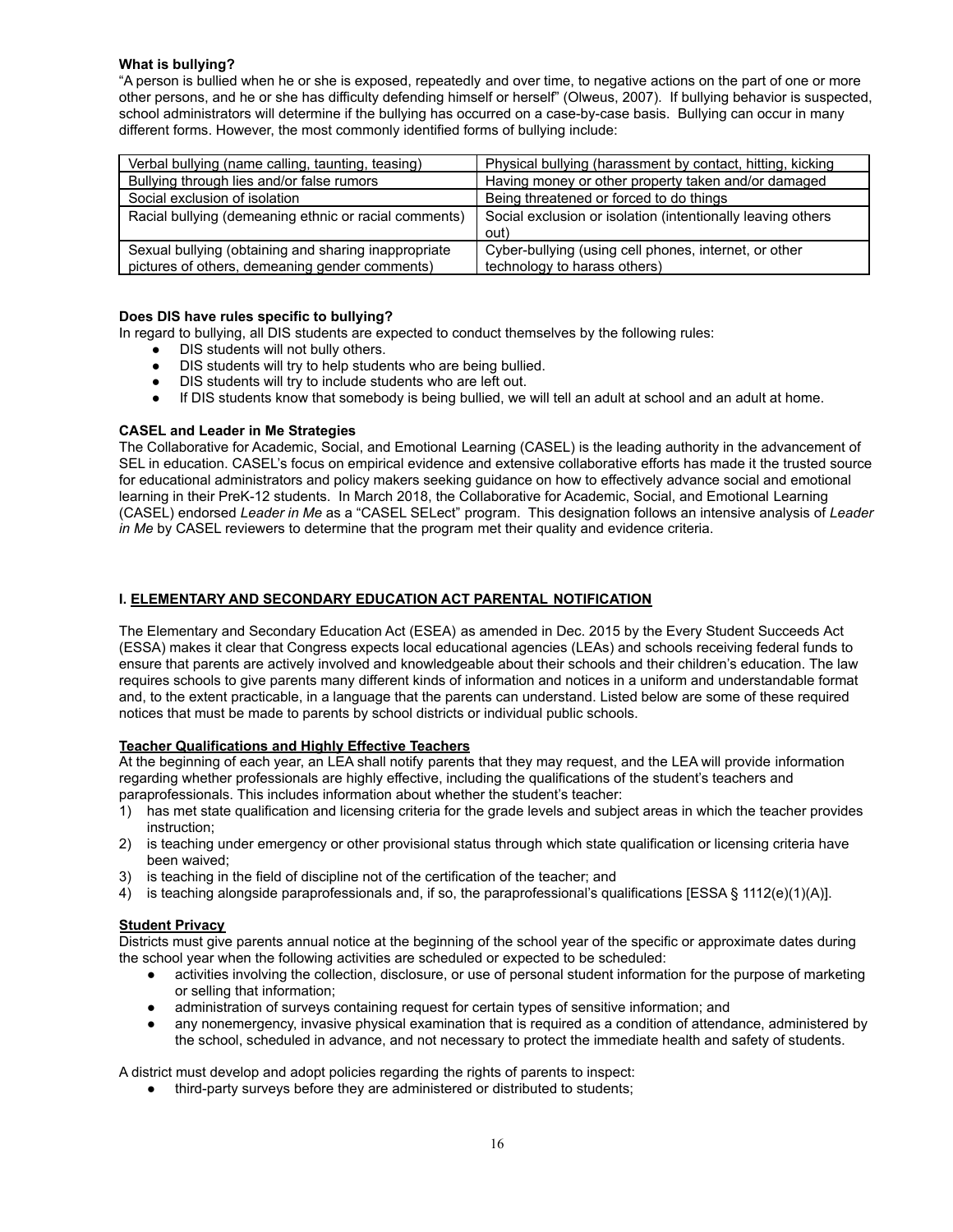#### **What is bullying?**

"A person is bullied when he or she is exposed, repeatedly and over time, to negative actions on the part of one or more other persons, and he or she has difficulty defending himself or herself" (Olweus, 2007). If bullying behavior is suspected, school administrators will determine if the bullying has occurred on a case-by-case basis. Bullying can occur in many different forms. However, the most commonly identified forms of bullying include:

| Verbal bullying (name calling, taunting, teasing)     | Physical bullying (harassment by contact, hitting, kicking  |
|-------------------------------------------------------|-------------------------------------------------------------|
| Bullying through lies and/or false rumors             | Having money or other property taken and/or damaged         |
| Social exclusion of isolation                         | Being threatened or forced to do things                     |
| Racial bullying (demeaning ethnic or racial comments) | Social exclusion or isolation (intentionally leaving others |
|                                                       | out)                                                        |
| Sexual bullying (obtaining and sharing inappropriate  | Cyber-bullying (using cell phones, internet, or other       |
| pictures of others, demeaning gender comments)        | technology to harass others)                                |

#### **Does DIS have rules specific to bullying?**

In regard to bullying, all DIS students are expected to conduct themselves by the following rules:

- DIS students will not bully others.
- DIS students will try to help students who are being bullied.
- DIS students will try to include students who are left out.
- If DIS students know that somebody is being bullied, we will tell an adult at school and an adult at home.

#### **CASEL and Leader in Me Strategies**

The Collaborative for Academic, Social, and Emotional Learning (CASEL) is the leading authority in the advancement of SEL in education. CASEL's focus on empirical evidence and extensive collaborative efforts has made it the trusted source for educational administrators and policy makers seeking guidance on how to effectively advance social and emotional learning in their PreK-12 students. In March 2018, the Collaborative for Academic, Social, and Emotional Learning (CASEL) endorsed *Leader in Me* as a "CASEL SELect" program. This designation follows an intensive analysis of *Leader in Me* by CASEL reviewers to determine that the program met their quality and evidence criteria.

#### **I. ELEMENTARY AND SECONDARY EDUCATION ACT PARENTAL NOTIFICATION**

The Elementary and Secondary Education Act (ESEA) as amended in Dec. 2015 by the Every Student Succeeds Act (ESSA) makes it clear that Congress expects local educational agencies (LEAs) and schools receiving federal funds to ensure that parents are actively involved and knowledgeable about their schools and their children's education. The law requires schools to give parents many different kinds of information and notices in a uniform and understandable format and, to the extent practicable, in a language that the parents can understand. Listed below are some of these required notices that must be made to parents by school districts or individual public schools.

#### **Teacher Qualifications and Highly Effective Teachers**

At the beginning of each year, an LEA shall notify parents that they may request, and the LEA will provide information regarding whether professionals are highly effective, including the qualifications of the student's teachers and paraprofessionals. This includes information about whether the student's teacher:

- 1) has met state qualification and licensing criteria for the grade levels and subject areas in which the teacher provides instruction;
- 2) is teaching under emergency or other provisional status through which state qualification or licensing criteria have been waived;
- 3) is teaching in the field of discipline not of the certification of the teacher; and
- 4) is teaching alongside paraprofessionals and, if so, the paraprofessional's qualifications [ESSA § 1112(e)(1)(A)].

#### **Student Privacy**

Districts must give parents annual notice at the beginning of the school year of the specific or approximate dates during the school year when the following activities are scheduled or expected to be scheduled:

- activities involving the collection, disclosure, or use of personal student information for the purpose of marketing or selling that information;
- administration of surveys containing request for certain types of sensitive information; and
- any nonemergency, invasive physical examination that is required as a condition of attendance, administered by the school, scheduled in advance, and not necessary to protect the immediate health and safety of students.

A district must develop and adopt policies regarding the rights of parents to inspect:

third-party surveys before they are administered or distributed to students;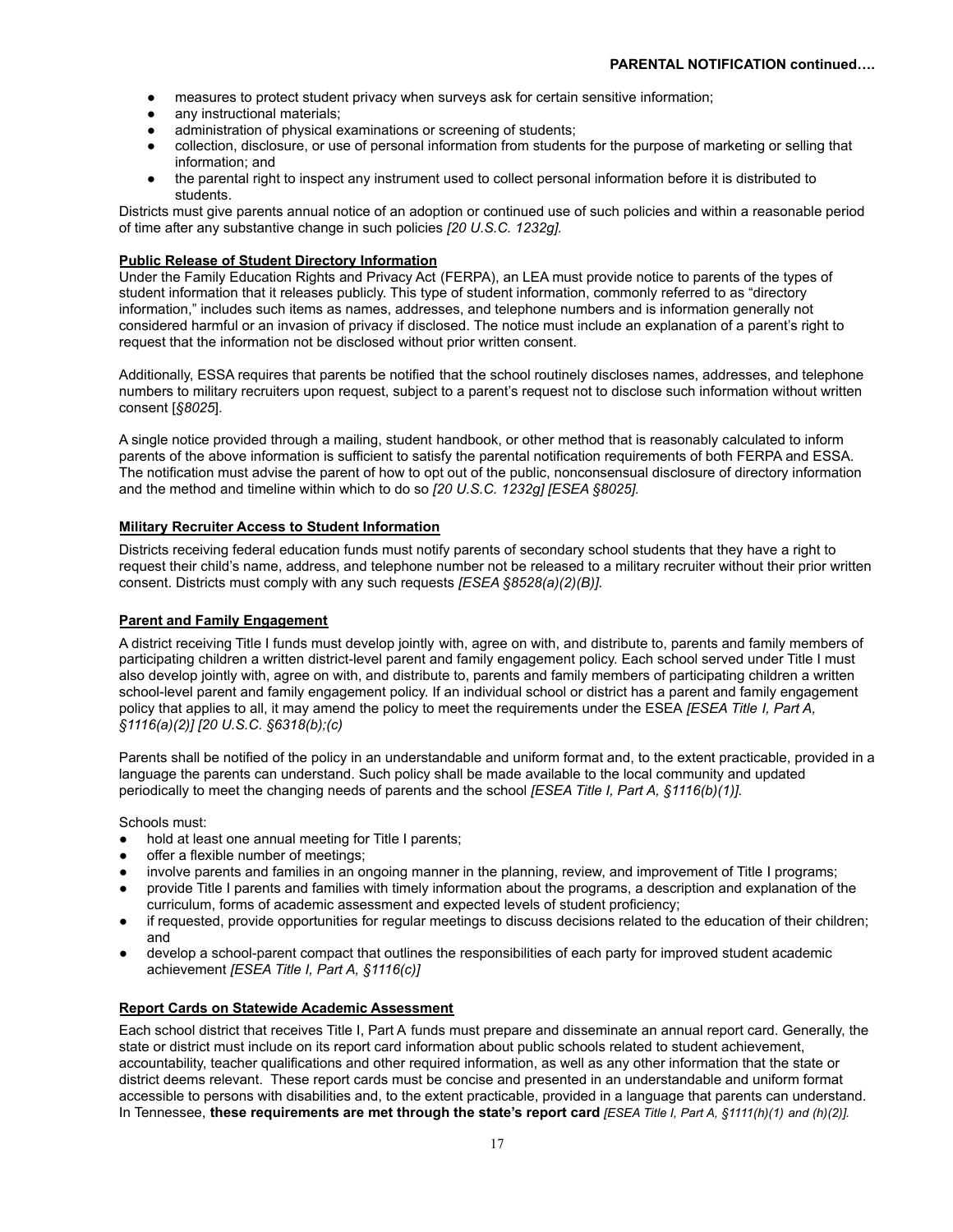- measures to protect student privacy when surveys ask for certain sensitive information;
- any instructional materials;
- administration of physical examinations or screening of students;
- collection, disclosure, or use of personal information from students for the purpose of marketing or selling that information; and
- the parental right to inspect any instrument used to collect personal information before it is distributed to students.

Districts must give parents annual notice of an adoption or continued use of such policies and within a reasonable period of time after any substantive change in such policies *[20 U.S.C. 1232g].*

#### **Public Release of Student Directory Information**

Under the Family Education Rights and Privacy Act (FERPA), an LEA must provide notice to parents of the types of student information that it releases publicly. This type of student information, commonly referred to as "directory information," includes such items as names, addresses, and telephone numbers and is information generally not considered harmful or an invasion of privacy if disclosed. The notice must include an explanation of a parent's right to request that the information not be disclosed without prior written consent.

Additionally, ESSA requires that parents be notified that the school routinely discloses names, addresses, and telephone numbers to military recruiters upon request, subject to a parent's request not to disclose such information without written consent [*§8025*].

A single notice provided through a mailing, student handbook, or other method that is reasonably calculated to inform parents of the above information is sufficient to satisfy the parental notification requirements of both FERPA and ESSA. The notification must advise the parent of how to opt out of the public, nonconsensual disclosure of directory information and the method and timeline within which to do so *[20 U.S.C. 1232g] [ESEA §8025].*

#### **Military Recruiter Access to Student Information**

Districts receiving federal education funds must notify parents of secondary school students that they have a right to request their child's name, address, and telephone number not be released to a military recruiter without their prior written consent. Districts must comply with any such requests *[ESEA §8528(a)(2)(B)].*

#### **Parent and Family Engagement**

A district receiving Title I funds must develop jointly with, agree on with, and distribute to, parents and family members of participating children a written district-level parent and family engagement policy. Each school served under Title I must also develop jointly with, agree on with, and distribute to, parents and family members of participating children a written school-level parent and family engagement policy. If an individual school or district has a parent and family engagement policy that applies to all, it may amend the policy to meet the requirements under the ESEA *[ESEA Title I, Part A, §1116(a)(2)] [20 U.S.C. §6318(b);(c)*

Parents shall be notified of the policy in an understandable and uniform format and, to the extent practicable, provided in a language the parents can understand. Such policy shall be made available to the local community and updated periodically to meet the changing needs of parents and the school *[ESEA Title I, Part A, §1116(b)(1)].*

Schools must:

- hold at least one annual meeting for Title I parents;
- offer a flexible number of meetings;
- involve parents and families in an ongoing manner in the planning, review, and improvement of Title I programs;
- provide Title I parents and families with timely information about the programs, a description and explanation of the curriculum, forms of academic assessment and expected levels of student proficiency;
- if requested, provide opportunities for regular meetings to discuss decisions related to the education of their children; and
- develop a school-parent compact that outlines the responsibilities of each party for improved student academic achievement *[ESEA Title I, Part A, §1116(c)]*

#### **Report Cards on Statewide Academic Assessment**

Each school district that receives Title I, Part A funds must prepare and disseminate an annual report card. Generally, the state or district must include on its report card information about public schools related to student achievement, accountability, teacher qualifications and other required information, as well as any other information that the state or district deems relevant. These report cards must be concise and presented in an understandable and uniform format accessible to persons with disabilities and, to the extent practicable, provided in a language that parents can understand. In Tennessee, **these requirements are met through the state's report card** *[ESEA Title I, Part A, §1111(h)(1) and (h)(2)].*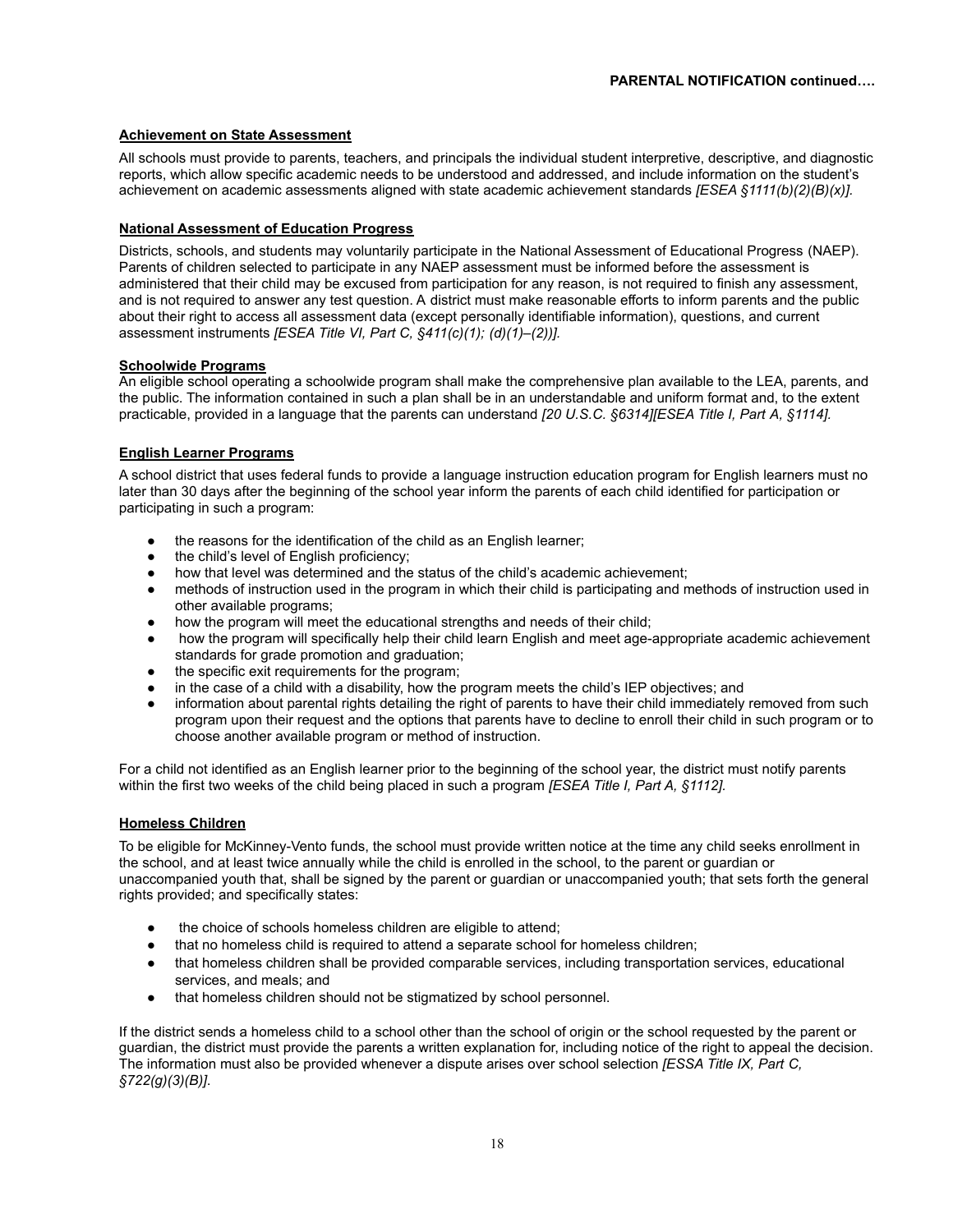#### **Achievement on State Assessment**

All schools must provide to parents, teachers, and principals the individual student interpretive, descriptive, and diagnostic reports, which allow specific academic needs to be understood and addressed, and include information on the student's achievement on academic assessments aligned with state academic achievement standards *[ESEA §1111(b)(2)(B)(x)].*

#### **National Assessment of Education Progress**

Districts, schools, and students may voluntarily participate in the National Assessment of Educational Progress (NAEP). Parents of children selected to participate in any NAEP assessment must be informed before the assessment is administered that their child may be excused from participation for any reason, is not required to finish any assessment, and is not required to answer any test question. A district must make reasonable efforts to inform parents and the public about their right to access all assessment data (except personally identifiable information), questions, and current assessment instruments *[ESEA Title VI, Part C, §411(c)(1); (d)(1)–(2))].*

#### **Schoolwide Programs**

An eligible school operating a schoolwide program shall make the comprehensive plan available to the LEA, parents, and the public. The information contained in such a plan shall be in an understandable and uniform format and, to the extent practicable, provided in a language that the parents can understand *[20 U.S.C. §6314][ESEA Title I, Part A, §1114].*

#### **English Learner Programs**

A school district that uses federal funds to provide a language instruction education program for English learners must no later than 30 days after the beginning of the school year inform the parents of each child identified for participation or participating in such a program:

- the reasons for the identification of the child as an English learner;
- the child's level of English proficiency;
- how that level was determined and the status of the child's academic achievement;
- methods of instruction used in the program in which their child is participating and methods of instruction used in other available programs;
- how the program will meet the educational strengths and needs of their child;
- how the program will specifically help their child learn English and meet age-appropriate academic achievement standards for grade promotion and graduation;
- the specific exit requirements for the program;
- in the case of a child with a disability, how the program meets the child's IEP objectives; and
- information about parental rights detailing the right of parents to have their child immediately removed from such program upon their request and the options that parents have to decline to enroll their child in such program or to choose another available program or method of instruction.

For a child not identified as an English learner prior to the beginning of the school year, the district must notify parents within the first two weeks of the child being placed in such a program *[ESEA Title I, Part A, §1112].*

#### **Homeless Children**

To be eligible for McKinney-Vento funds, the school must provide written notice at the time any child seeks enrollment in the school, and at least twice annually while the child is enrolled in the school, to the parent or guardian or unaccompanied youth that, shall be signed by the parent or guardian or unaccompanied youth; that sets forth the general rights provided; and specifically states:

- the choice of schools homeless children are eligible to attend;
- that no homeless child is required to attend a separate school for homeless children;
- that homeless children shall be provided comparable services, including transportation services, educational services, and meals; and
- that homeless children should not be stigmatized by school personnel.

If the district sends a homeless child to a school other than the school of origin or the school requested by the parent or guardian, the district must provide the parents a written explanation for, including notice of the right to appeal the decision. The information must also be provided whenever a dispute arises over school selection *[ESSA Title IX, Part C, §722(g)(3)(B)]*.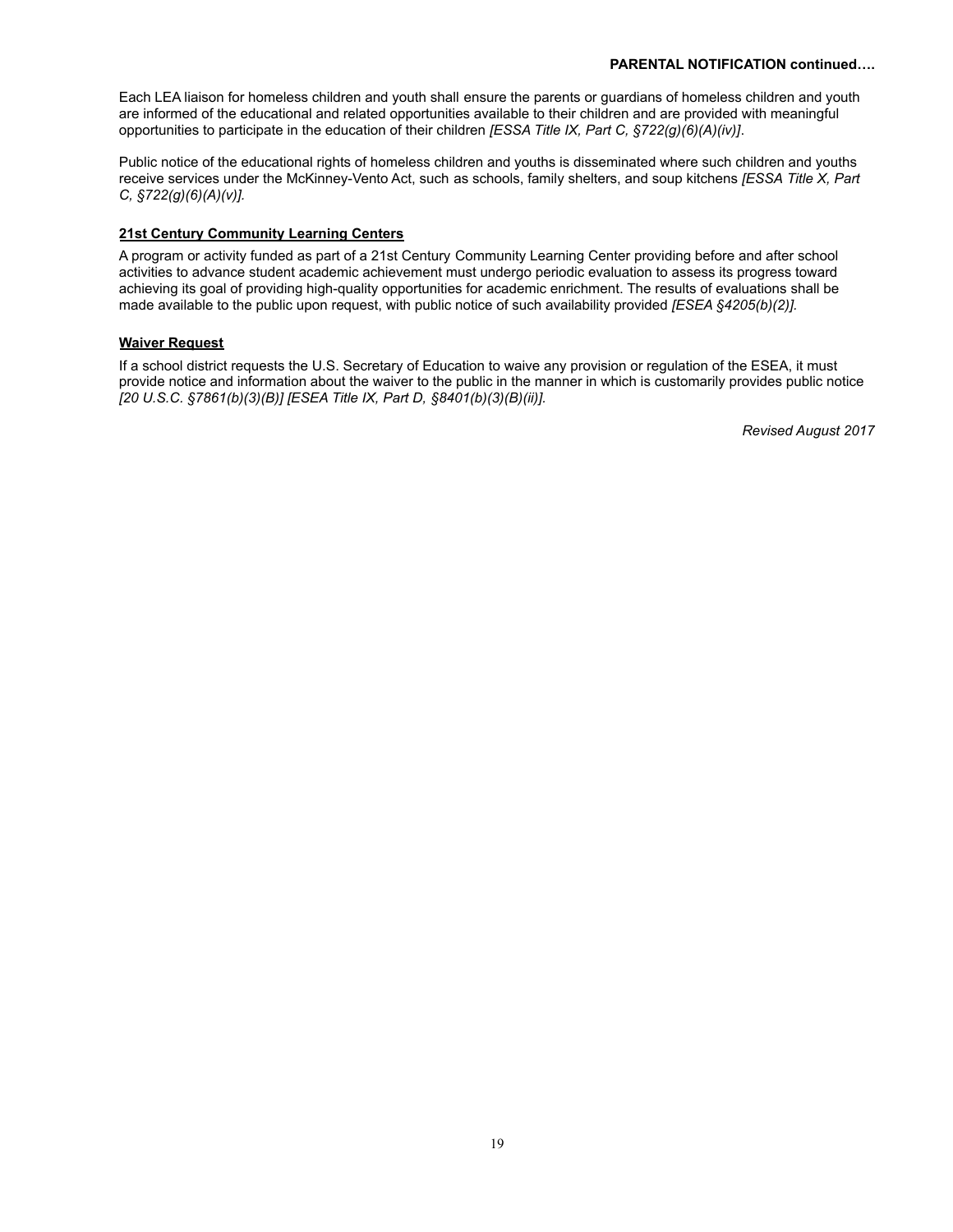#### **PARENTAL NOTIFICATION continued….**

Each LEA liaison for homeless children and youth shall ensure the parents or guardians of homeless children and youth are informed of the educational and related opportunities available to their children and are provided with meaningful opportunities to participate in the education of their children *[ESSA Title IX, Part C, §722(g)(6)(A)(iv)]*.

Public notice of the educational rights of homeless children and youths is disseminated where such children and youths receive services under the McKinney-Vento Act, such as schools, family shelters, and soup kitchens *[ESSA Title X, Part C, §722(g)(6)(A)(v)].*

#### **21st Century Community Learning Centers**

A program or activity funded as part of a 21st Century Community Learning Center providing before and after school activities to advance student academic achievement must undergo periodic evaluation to assess its progress toward achieving its goal of providing high-quality opportunities for academic enrichment. The results of evaluations shall be made available to the public upon request, with public notice of such availability provided *[ESEA §4205(b)(2)].*

#### **Waiver Request**

If a school district requests the U.S. Secretary of Education to waive any provision or regulation of the ESEA, it must provide notice and information about the waiver to the public in the manner in which is customarily provides public notice *[20 U.S.C. §7861(b)(3)(B)] [ESEA Title IX, Part D, §8401(b)(3)(B)(ii)].*

*Revised August 2017*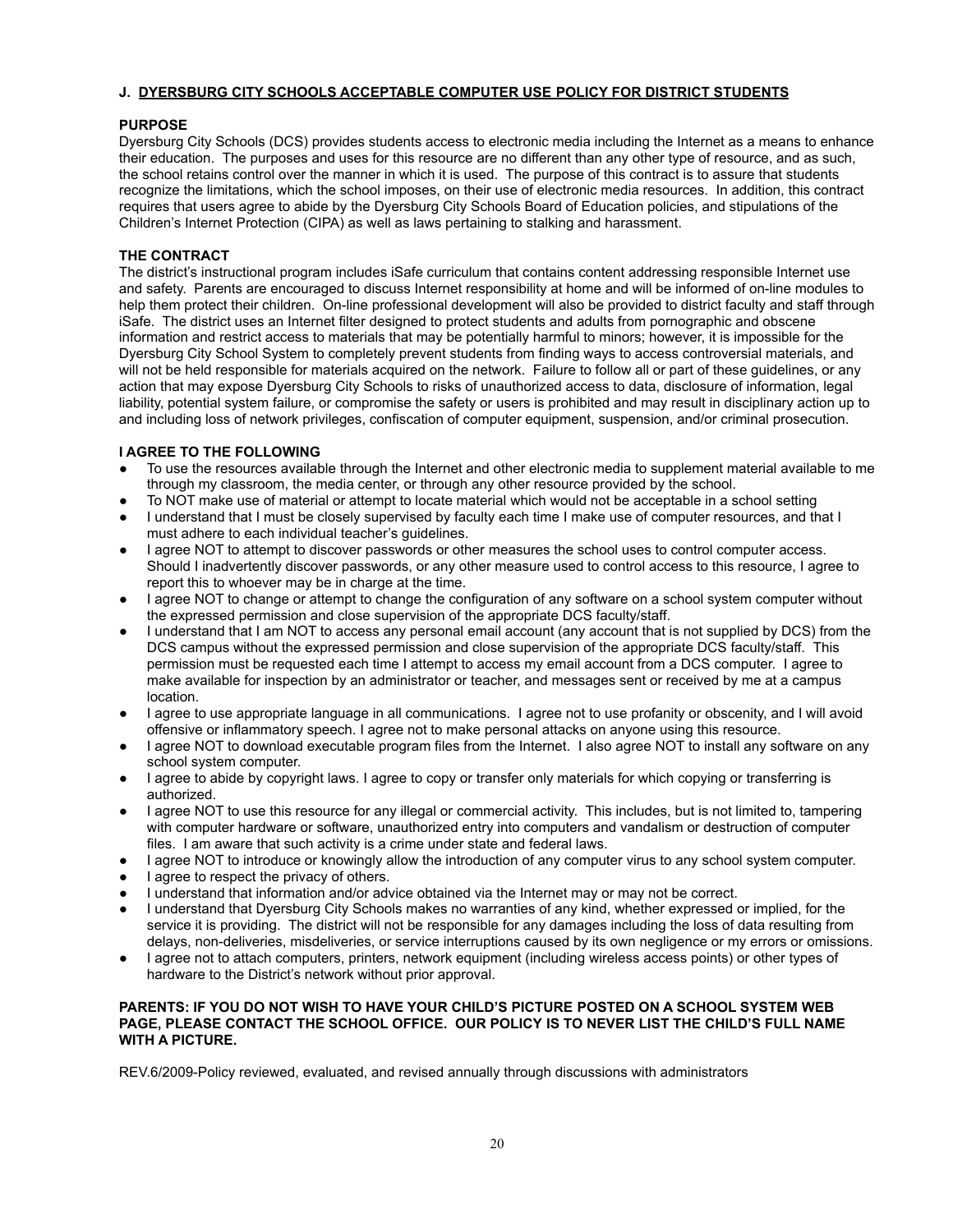#### **J. DYERSBURG CITY SCHOOLS ACCEPTABLE COMPUTER USE POLICY FOR DISTRICT STUDENTS**

#### **PURPOSE**

Dyersburg City Schools (DCS) provides students access to electronic media including the Internet as a means to enhance their education. The purposes and uses for this resource are no different than any other type of resource, and as such, the school retains control over the manner in which it is used. The purpose of this contract is to assure that students recognize the limitations, which the school imposes, on their use of electronic media resources. In addition, this contract requires that users agree to abide by the Dyersburg City Schools Board of Education policies, and stipulations of the Children's Internet Protection (CIPA) as well as laws pertaining to stalking and harassment.

#### **THE CONTRACT**

The district's instructional program includes iSafe curriculum that contains content addressing responsible Internet use and safety. Parents are encouraged to discuss Internet responsibility at home and will be informed of on-line modules to help them protect their children. On-line professional development will also be provided to district faculty and staff through iSafe. The district uses an Internet filter designed to protect students and adults from pornographic and obscene information and restrict access to materials that may be potentially harmful to minors; however, it is impossible for the Dyersburg City School System to completely prevent students from finding ways to access controversial materials, and will not be held responsible for materials acquired on the network. Failure to follow all or part of these guidelines, or any action that may expose Dyersburg City Schools to risks of unauthorized access to data, disclosure of information, legal liability, potential system failure, or compromise the safety or users is prohibited and may result in disciplinary action up to and including loss of network privileges, confiscation of computer equipment, suspension, and/or criminal prosecution.

#### **I AGREE TO THE FOLLOWING**

- **●** To use the resources available through the Internet and other electronic media to supplement material available to me through my classroom, the media center, or through any other resource provided by the school.
- **●** To NOT make use of material or attempt to locate material which would not be acceptable in a school setting **●** I understand that I must be closely supervised by faculty each time I make use of computer resources, and that I must adhere to each individual teacher's guidelines.
- **●** I agree NOT to attempt to discover passwords or other measures the school uses to control computer access. Should I inadvertently discover passwords, or any other measure used to control access to this resource, I agree to report this to whoever may be in charge at the time.
- **●** I agree NOT to change or attempt to change the configuration of any software on a school system computer without the expressed permission and close supervision of the appropriate DCS faculty/staff.
- **●** I understand that I am NOT to access any personal email account (any account that is not supplied by DCS) from the DCS campus without the expressed permission and close supervision of the appropriate DCS faculty/staff. This permission must be requested each time I attempt to access my email account from a DCS computer. I agree to make available for inspection by an administrator or teacher, and messages sent or received by me at a campus location.
- **●** I agree to use appropriate language in all communications. I agree not to use profanity or obscenity, and I will avoid offensive or inflammatory speech. I agree not to make personal attacks on anyone using this resource.
- **●** I agree NOT to download executable program files from the Internet. I also agree NOT to install any software on any school system computer.
- **●** I agree to abide by copyright laws. I agree to copy or transfer only materials for which copying or transferring is authorized.
- **●** I agree NOT to use this resource for any illegal or commercial activity. This includes, but is not limited to, tampering with computer hardware or software, unauthorized entry into computers and vandalism or destruction of computer files. I am aware that such activity is a crime under state and federal laws.
- **●** I agree NOT to introduce or knowingly allow the introduction of any computer virus to any school system computer.
- **●** I agree to respect the privacy of others.
- **●** I understand that information and/or advice obtained via the Internet may or may not be correct.
- **●** I understand that Dyersburg City Schools makes no warranties of any kind, whether expressed or implied, for the service it is providing. The district will not be responsible for any damages including the loss of data resulting from delays, non-deliveries, misdeliveries, or service interruptions caused by its own negligence or my errors or omissions.
- **●** I agree not to attach computers, printers, network equipment (including wireless access points) or other types of hardware to the District's network without prior approval.

#### **PARENTS: IF YOU DO NOT WISH TO HAVE YOUR CHILD'S PICTURE POSTED ON A SCHOOL SYSTEM WEB PAGE, PLEASE CONTACT THE SCHOOL OFFICE. OUR POLICY IS TO NEVER LIST THE CHILD'S FULL NAME WITH A PICTURE.**

REV.6/2009-Policy reviewed, evaluated, and revised annually through discussions with administrators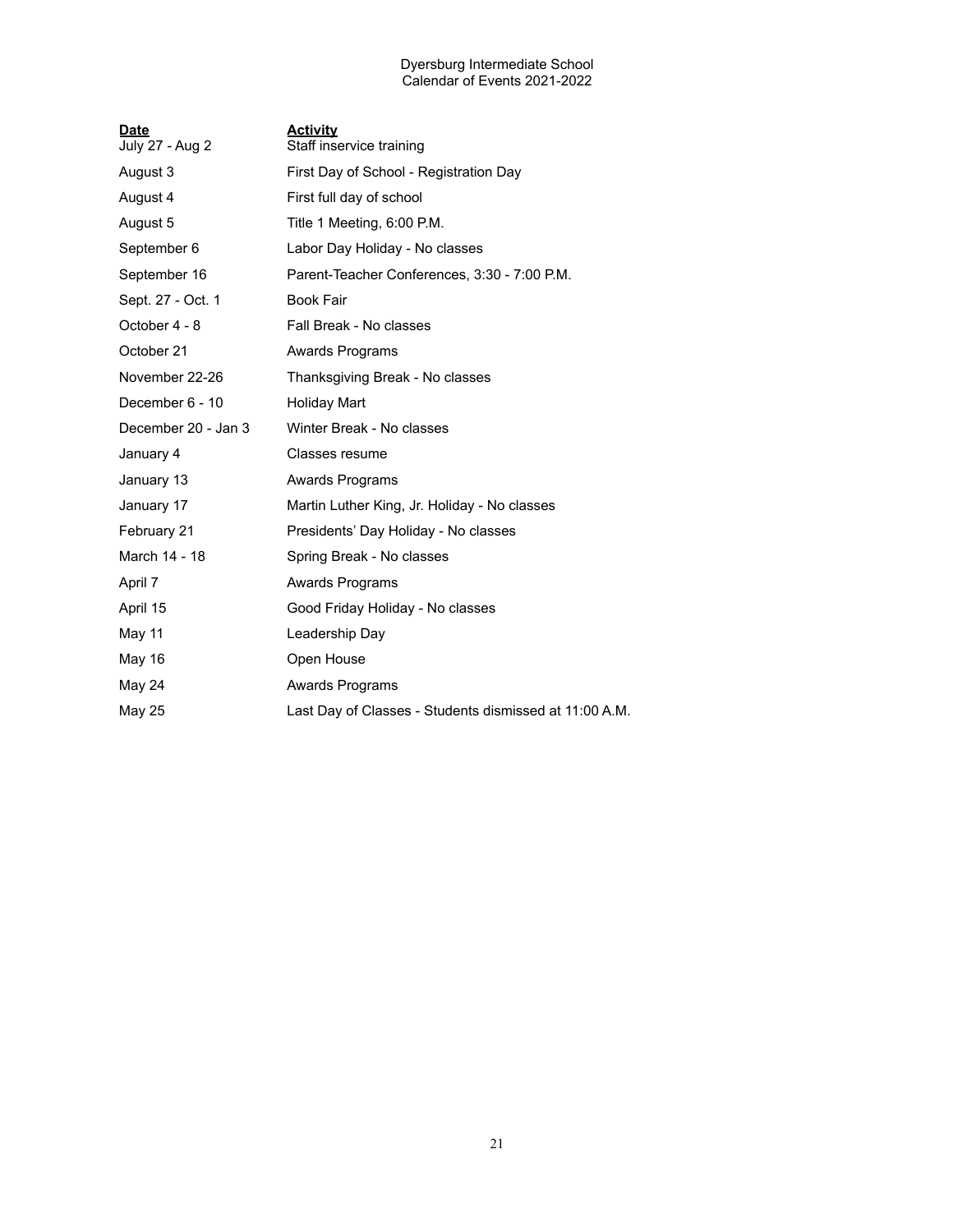#### Dyersburg Intermediate School Calendar of Events 2021-2022

| <u>Date</u><br>July 27 - Aug 2 | <u>Activity</u><br>Staff inservice training            |
|--------------------------------|--------------------------------------------------------|
| August 3                       | First Day of School - Registration Day                 |
| August 4                       | First full day of school                               |
| August 5                       | Title 1 Meeting, 6:00 P.M.                             |
| September 6                    | Labor Day Holiday - No classes                         |
| September 16                   | Parent-Teacher Conferences, 3:30 - 7:00 P.M.           |
| Sept. 27 - Oct. 1              | <b>Book Fair</b>                                       |
| October 4 - 8                  | Fall Break - No classes                                |
| October 21                     | Awards Programs                                        |
| November 22-26                 | Thanksgiving Break - No classes                        |
| December 6 - 10                | <b>Holiday Mart</b>                                    |
| December 20 - Jan 3            | Winter Break - No classes                              |
| January 4                      | Classes resume                                         |
| January 13                     | Awards Programs                                        |
| January 17                     | Martin Luther King, Jr. Holiday - No classes           |
| February 21                    | Presidents' Day Holiday - No classes                   |
| March 14 - 18                  | Spring Break - No classes                              |
| April 7                        | Awards Programs                                        |
| April 15                       | Good Friday Holiday - No classes                       |
| May 11                         | Leadership Day                                         |
| May 16                         | Open House                                             |
| May 24                         | Awards Programs                                        |
| May 25                         | Last Day of Classes - Students dismissed at 11:00 A.M. |